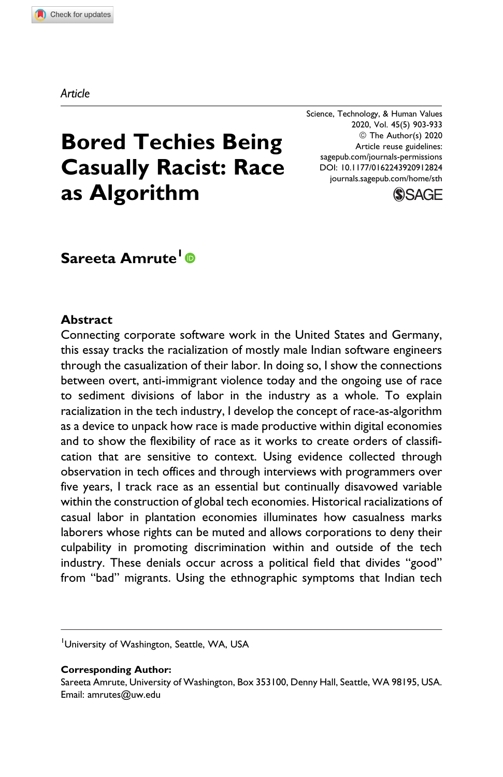Article

Science, Technology, & Human Values 2020, Vol. 45(5) 903-933 © The Author(s) 2020 Article reuse guidelines: [sagepub.com/journals-permissions](https://sagepub.com/journals-permissions) [DOI: 10.1177/0162243920912824](https://doi.org/10.1177/0162243920912824) [journals.sagepub.com/home/sth](http://journals.sagepub.com/home/sth)



# Bored Techies Being Casually Racist: Race as Algorithm

# Sareeta Amrute<sup>1</sup><sup>®</sup>

## Abstract

Connecting corporate software work in the United States and Germany, this essay tracks the racialization of mostly male Indian software engineers through the casualization of their labor. In doing so, I show the connections between overt, anti-immigrant violence today and the ongoing use of race to sediment divisions of labor in the industry as a whole. To explain racialization in the tech industry, I develop the concept of race-as-algorithm as a device to unpack how race is made productive within digital economies and to show the flexibility of race as it works to create orders of classification that are sensitive to context. Using evidence collected through observation in tech offices and through interviews with programmers over five years, I track race as an essential but continually disavowed variable within the construction of global tech economies. Historical racializations of casual labor in plantation economies illuminates how casualness marks laborers whose rights can be muted and allows corporations to deny their culpability in promoting discrimination within and outside of the tech industry. These denials occur across a political field that divides "good" from "bad" migrants. Using the ethnographic symptoms that Indian tech

#### Corresponding Author:

<sup>&</sup>lt;sup>1</sup>University of Washington, Seattle, WA, USA

Sareeta Amrute, University of Washington, Box 353100, Denny Hall, Seattle, WA 98195, USA. Email: [amrutes@uw.edu](mailto:amrutes@uw.edu)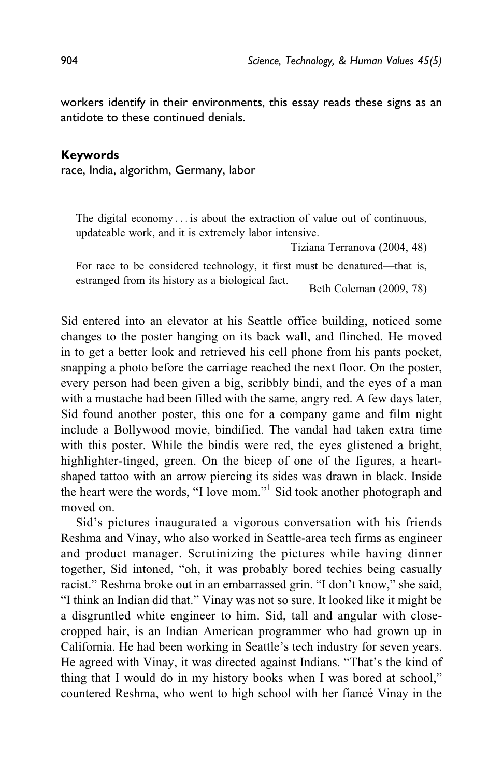workers identify in their environments, this essay reads these signs as an antidote to these continued denials.

#### Keywords

race, India, algorithm, Germany, labor

The digital economy ... is about the extraction of value out of continuous, updateable work, and it is extremely labor intensive.

Tiziana Terranova (2004, 48)

For race to be considered technology, it first must be denatured—that is, estranged from its history as a biological fact.<br>Beth Coleman (2009, 78)

Sid entered into an elevator at his Seattle office building, noticed some changes to the poster hanging on its back wall, and flinched. He moved in to get a better look and retrieved his cell phone from his pants pocket, snapping a photo before the carriage reached the next floor. On the poster, every person had been given a big, scribbly bindi, and the eyes of a man with a mustache had been filled with the same, angry red. A few days later, Sid found another poster, this one for a company game and film night include a Bollywood movie, bindified. The vandal had taken extra time with this poster. While the bindis were red, the eyes glistened a bright, highlighter-tinged, green. On the bicep of one of the figures, a heartshaped tattoo with an arrow piercing its sides was drawn in black. Inside the heart were the words, "I love mom."1 Sid took another photograph and moved on.

Sid's pictures inaugurated a vigorous conversation with his friends Reshma and Vinay, who also worked in Seattle-area tech firms as engineer and product manager. Scrutinizing the pictures while having dinner together, Sid intoned, "oh, it was probably bored techies being casually racist." Reshma broke out in an embarrassed grin. "I don't know," she said, "I think an Indian did that." Vinay was not so sure. It looked like it might be a disgruntled white engineer to him. Sid, tall and angular with closecropped hair, is an Indian American programmer who had grown up in California. He had been working in Seattle's tech industry for seven years. He agreed with Vinay, it was directed against Indians. "That's the kind of thing that I would do in my history books when I was bored at school," countered Reshma, who went to high school with her fiancé Vinay in the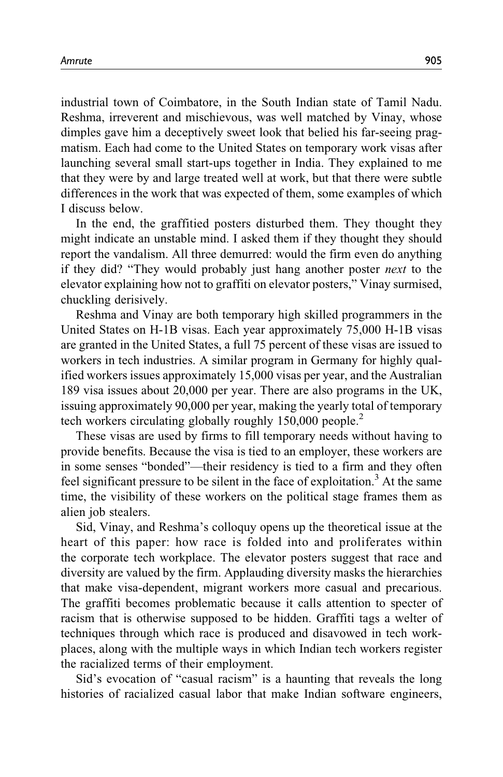industrial town of Coimbatore, in the South Indian state of Tamil Nadu. Reshma, irreverent and mischievous, was well matched by Vinay, whose dimples gave him a deceptively sweet look that belied his far-seeing pragmatism. Each had come to the United States on temporary work visas after launching several small start-ups together in India. They explained to me that they were by and large treated well at work, but that there were subtle differences in the work that was expected of them, some examples of which I discuss below.

In the end, the graffitied posters disturbed them. They thought they might indicate an unstable mind. I asked them if they thought they should report the vandalism. All three demurred: would the firm even do anything if they did? "They would probably just hang another poster next to the elevator explaining how not to graffiti on elevator posters," Vinay surmised, chuckling derisively.

Reshma and Vinay are both temporary high skilled programmers in the United States on H-1B visas. Each year approximately 75,000 H-1B visas are granted in the United States, a full 75 percent of these visas are issued to workers in tech industries. A similar program in Germany for highly qualified workers issues approximately 15,000 visas per year, and the Australian 189 visa issues about 20,000 per year. There are also programs in the UK, issuing approximately 90,000 per year, making the yearly total of temporary tech workers circulating globally roughly 150,000 people.<sup>2</sup>

These visas are used by firms to fill temporary needs without having to provide benefits. Because the visa is tied to an employer, these workers are in some senses "bonded"—their residency is tied to a firm and they often feel significant pressure to be silent in the face of exploitation.<sup>3</sup> At the same time, the visibility of these workers on the political stage frames them as alien job stealers.

Sid, Vinay, and Reshma's colloquy opens up the theoretical issue at the heart of this paper: how race is folded into and proliferates within the corporate tech workplace. The elevator posters suggest that race and diversity are valued by the firm. Applauding diversity masks the hierarchies that make visa-dependent, migrant workers more casual and precarious. The graffiti becomes problematic because it calls attention to specter of racism that is otherwise supposed to be hidden. Graffiti tags a welter of techniques through which race is produced and disavowed in tech workplaces, along with the multiple ways in which Indian tech workers register the racialized terms of their employment.

Sid's evocation of "casual racism" is a haunting that reveals the long histories of racialized casual labor that make Indian software engineers,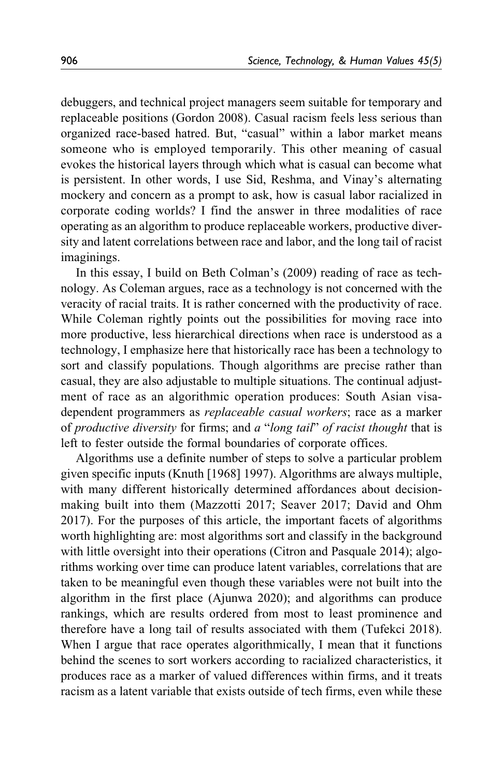debuggers, and technical project managers seem suitable for temporary and replaceable positions (Gordon 2008). Casual racism feels less serious than organized race-based hatred. But, "casual" within a labor market means someone who is employed temporarily. This other meaning of casual evokes the historical layers through which what is casual can become what is persistent. In other words, I use Sid, Reshma, and Vinay's alternating mockery and concern as a prompt to ask, how is casual labor racialized in corporate coding worlds? I find the answer in three modalities of race operating as an algorithm to produce replaceable workers, productive diversity and latent correlations between race and labor, and the long tail of racist imaginings.

In this essay, I build on Beth Colman's (2009) reading of race as technology. As Coleman argues, race as a technology is not concerned with the veracity of racial traits. It is rather concerned with the productivity of race. While Coleman rightly points out the possibilities for moving race into more productive, less hierarchical directions when race is understood as a technology, I emphasize here that historically race has been a technology to sort and classify populations. Though algorithms are precise rather than casual, they are also adjustable to multiple situations. The continual adjustment of race as an algorithmic operation produces: South Asian visadependent programmers as replaceable casual workers; race as a marker of productive diversity for firms; and a "long tail" of racist thought that is left to fester outside the formal boundaries of corporate offices.

Algorithms use a definite number of steps to solve a particular problem given specific inputs (Knuth [1968] 1997). Algorithms are always multiple, with many different historically determined affordances about decisionmaking built into them (Mazzotti 2017; Seaver 2017; David and Ohm 2017). For the purposes of this article, the important facets of algorithms worth highlighting are: most algorithms sort and classify in the background with little oversight into their operations (Citron and Pasquale 2014); algorithms working over time can produce latent variables, correlations that are taken to be meaningful even though these variables were not built into the algorithm in the first place (Ajunwa 2020); and algorithms can produce rankings, which are results ordered from most to least prominence and therefore have a long tail of results associated with them (Tufekci 2018). When I argue that race operates algorithmically, I mean that it functions behind the scenes to sort workers according to racialized characteristics, it produces race as a marker of valued differences within firms, and it treats racism as a latent variable that exists outside of tech firms, even while these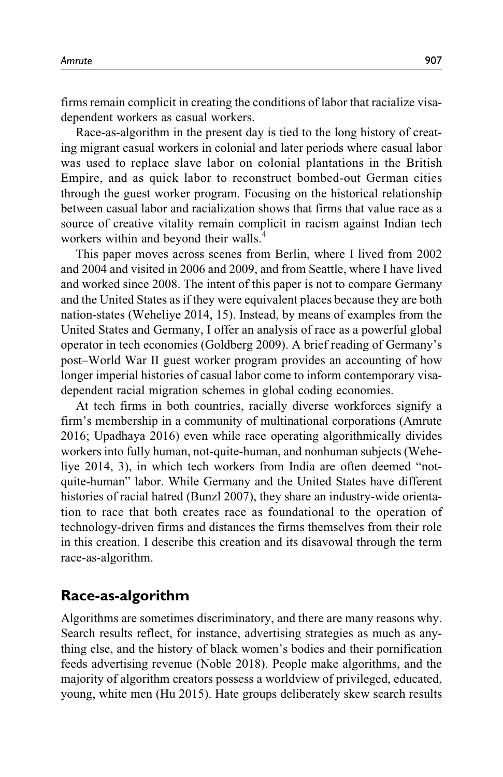firms remain complicit in creating the conditions of labor that racialize visadependent workers as casual workers.

Race-as-algorithm in the present day is tied to the long history of creating migrant casual workers in colonial and later periods where casual labor was used to replace slave labor on colonial plantations in the British Empire, and as quick labor to reconstruct bombed-out German cities through the guest worker program. Focusing on the historical relationship between casual labor and racialization shows that firms that value race as a source of creative vitality remain complicit in racism against Indian tech workers within and beyond their walls.<sup>4</sup>

This paper moves across scenes from Berlin, where I lived from 2002 and 2004 and visited in 2006 and 2009, and from Seattle, where I have lived and worked since 2008. The intent of this paper is not to compare Germany and the United States as if they were equivalent places because they are both nation-states (Weheliye 2014, 15). Instead, by means of examples from the United States and Germany, I offer an analysis of race as a powerful global operator in tech economies (Goldberg 2009). A brief reading of Germany's post–World War II guest worker program provides an accounting of how longer imperial histories of casual labor come to inform contemporary visadependent racial migration schemes in global coding economies.

At tech firms in both countries, racially diverse workforces signify a firm's membership in a community of multinational corporations (Amrute 2016; Upadhaya 2016) even while race operating algorithmically divides workers into fully human, not-quite-human, and nonhuman subjects (Weheliye 2014, 3), in which tech workers from India are often deemed "notquite-human" labor. While Germany and the United States have different histories of racial hatred (Bunzl 2007), they share an industry-wide orientation to race that both creates race as foundational to the operation of technology-driven firms and distances the firms themselves from their role in this creation. I describe this creation and its disavowal through the term race-as-algorithm.

# Race-as-algorithm

Algorithms are sometimes discriminatory, and there are many reasons why. Search results reflect, for instance, advertising strategies as much as anything else, and the history of black women's bodies and their pornification feeds advertising revenue (Noble 2018). People make algorithms, and the majority of algorithm creators possess a worldview of privileged, educated, young, white men (Hu 2015). Hate groups deliberately skew search results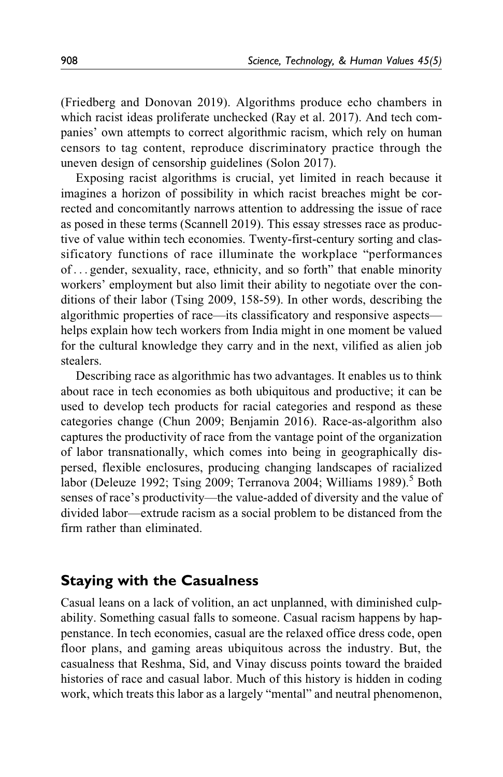(Friedberg and Donovan 2019). Algorithms produce echo chambers in which racist ideas proliferate unchecked (Ray et al. 2017). And tech companies' own attempts to correct algorithmic racism, which rely on human censors to tag content, reproduce discriminatory practice through the uneven design of censorship guidelines (Solon 2017).

Exposing racist algorithms is crucial, yet limited in reach because it imagines a horizon of possibility in which racist breaches might be corrected and concomitantly narrows attention to addressing the issue of race as posed in these terms (Scannell 2019). This essay stresses race as productive of value within tech economies. Twenty-first-century sorting and classificatory functions of race illuminate the workplace "performances of... gender, sexuality, race, ethnicity, and so forth" that enable minority workers' employment but also limit their ability to negotiate over the conditions of their labor (Tsing 2009, 158-59). In other words, describing the algorithmic properties of race—its classificatory and responsive aspects helps explain how tech workers from India might in one moment be valued for the cultural knowledge they carry and in the next, vilified as alien job stealers.

Describing race as algorithmic has two advantages. It enables us to think about race in tech economies as both ubiquitous and productive; it can be used to develop tech products for racial categories and respond as these categories change (Chun 2009; Benjamin 2016). Race-as-algorithm also captures the productivity of race from the vantage point of the organization of labor transnationally, which comes into being in geographically dispersed, flexible enclosures, producing changing landscapes of racialized labor (Deleuze 1992; Tsing 2009; Terranova 2004; Williams 1989).<sup>5</sup> Both senses of race's productivity—the value-added of diversity and the value of divided labor—extrude racism as a social problem to be distanced from the firm rather than eliminated.

# Staying with the Casualness

Casual leans on a lack of volition, an act unplanned, with diminished culpability. Something casual falls to someone. Casual racism happens by happenstance. In tech economies, casual are the relaxed office dress code, open floor plans, and gaming areas ubiquitous across the industry. But, the casualness that Reshma, Sid, and Vinay discuss points toward the braided histories of race and casual labor. Much of this history is hidden in coding work, which treats this labor as a largely "mental" and neutral phenomenon,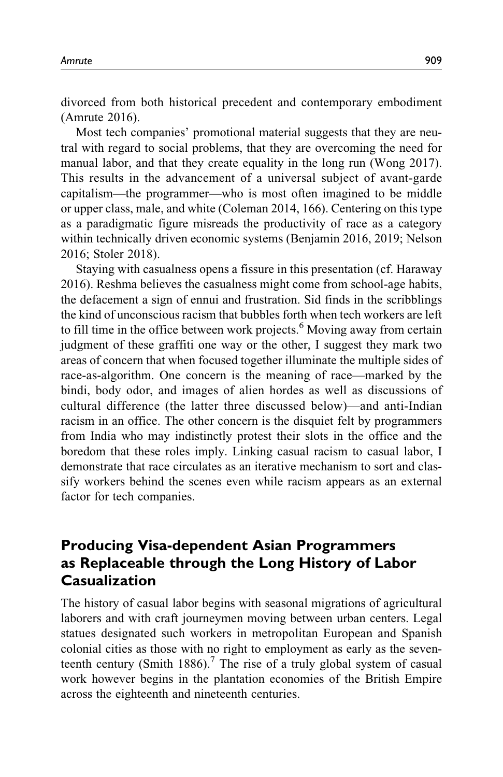divorced from both historical precedent and contemporary embodiment (Amrute 2016).

Most tech companies' promotional material suggests that they are neutral with regard to social problems, that they are overcoming the need for manual labor, and that they create equality in the long run (Wong 2017). This results in the advancement of a universal subject of avant-garde capitalism—the programmer—who is most often imagined to be middle or upper class, male, and white (Coleman 2014, 166). Centering on this type as a paradigmatic figure misreads the productivity of race as a category within technically driven economic systems (Benjamin 2016, 2019; Nelson 2016; Stoler 2018).

Staying with casualness opens a fissure in this presentation (cf. Haraway 2016). Reshma believes the casualness might come from school-age habits, the defacement a sign of ennui and frustration. Sid finds in the scribblings the kind of unconscious racism that bubbles forth when tech workers are left to fill time in the office between work projects.<sup>6</sup> Moving away from certain judgment of these graffiti one way or the other, I suggest they mark two areas of concern that when focused together illuminate the multiple sides of race-as-algorithm. One concern is the meaning of race—marked by the bindi, body odor, and images of alien hordes as well as discussions of cultural difference (the latter three discussed below)—and anti-Indian racism in an office. The other concern is the disquiet felt by programmers from India who may indistinctly protest their slots in the office and the boredom that these roles imply. Linking casual racism to casual labor, I demonstrate that race circulates as an iterative mechanism to sort and classify workers behind the scenes even while racism appears as an external factor for tech companies.

# Producing Visa-dependent Asian Programmers as Replaceable through the Long History of Labor Casualization

The history of casual labor begins with seasonal migrations of agricultural laborers and with craft journeymen moving between urban centers. Legal statues designated such workers in metropolitan European and Spanish colonial cities as those with no right to employment as early as the seventeenth century (Smith  $1886$ ).<sup>7</sup> The rise of a truly global system of casual work however begins in the plantation economies of the British Empire across the eighteenth and nineteenth centuries.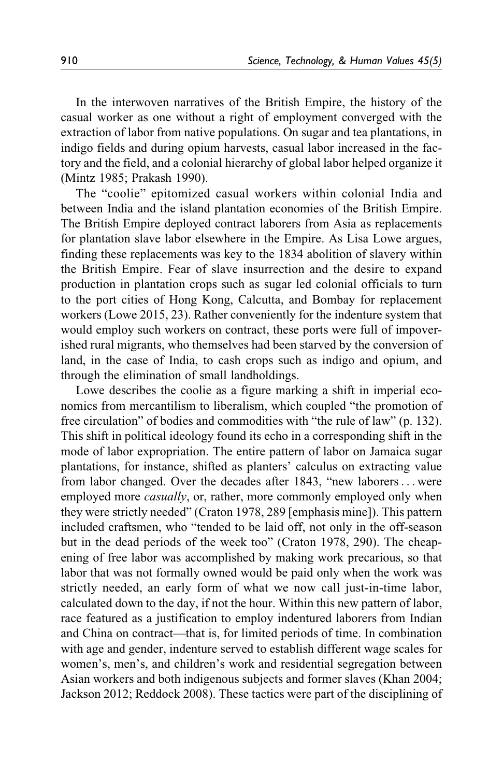In the interwoven narratives of the British Empire, the history of the casual worker as one without a right of employment converged with the extraction of labor from native populations. On sugar and tea plantations, in indigo fields and during opium harvests, casual labor increased in the factory and the field, and a colonial hierarchy of global labor helped organize it (Mintz 1985; Prakash 1990).

The "coolie" epitomized casual workers within colonial India and between India and the island plantation economies of the British Empire. The British Empire deployed contract laborers from Asia as replacements for plantation slave labor elsewhere in the Empire. As Lisa Lowe argues, finding these replacements was key to the 1834 abolition of slavery within the British Empire. Fear of slave insurrection and the desire to expand production in plantation crops such as sugar led colonial officials to turn to the port cities of Hong Kong, Calcutta, and Bombay for replacement workers (Lowe 2015, 23). Rather conveniently for the indenture system that would employ such workers on contract, these ports were full of impoverished rural migrants, who themselves had been starved by the conversion of land, in the case of India, to cash crops such as indigo and opium, and through the elimination of small landholdings.

Lowe describes the coolie as a figure marking a shift in imperial economics from mercantilism to liberalism, which coupled "the promotion of free circulation" of bodies and commodities with "the rule of law" (p. 132). This shift in political ideology found its echo in a corresponding shift in the mode of labor expropriation. The entire pattern of labor on Jamaica sugar plantations, for instance, shifted as planters' calculus on extracting value from labor changed. Over the decades after 1843, "new laborers... were employed more *casually*, or, rather, more commonly employed only when they were strictly needed" (Craton 1978, 289 [emphasis mine]). This pattern included craftsmen, who "tended to be laid off, not only in the off-season but in the dead periods of the week too" (Craton 1978, 290). The cheapening of free labor was accomplished by making work precarious, so that labor that was not formally owned would be paid only when the work was strictly needed, an early form of what we now call just-in-time labor, calculated down to the day, if not the hour. Within this new pattern of labor, race featured as a justification to employ indentured laborers from Indian and China on contract—that is, for limited periods of time. In combination with age and gender, indenture served to establish different wage scales for women's, men's, and children's work and residential segregation between Asian workers and both indigenous subjects and former slaves (Khan 2004; Jackson 2012; Reddock 2008). These tactics were part of the disciplining of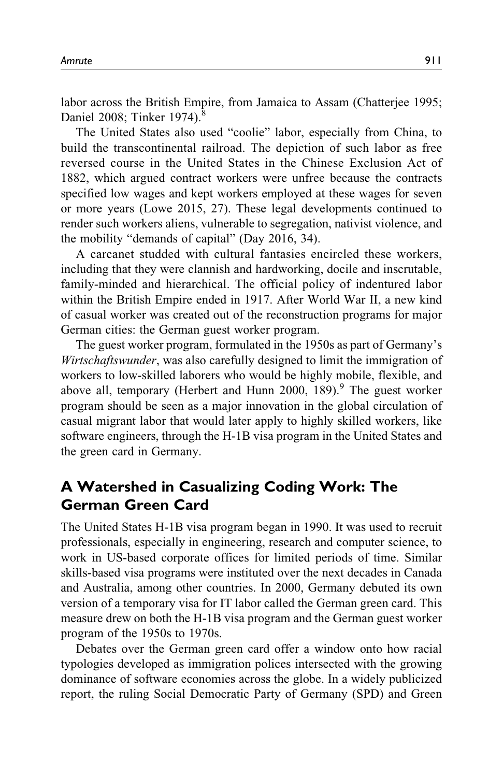labor across the British Empire, from Jamaica to Assam (Chatterjee 1995; Daniel 2008; Tinker 1974).<sup>8</sup>

The United States also used "coolie" labor, especially from China, to build the transcontinental railroad. The depiction of such labor as free reversed course in the United States in the Chinese Exclusion Act of 1882, which argued contract workers were unfree because the contracts specified low wages and kept workers employed at these wages for seven or more years (Lowe 2015, 27). These legal developments continued to render such workers aliens, vulnerable to segregation, nativist violence, and the mobility "demands of capital" (Day 2016, 34).

A carcanet studded with cultural fantasies encircled these workers, including that they were clannish and hardworking, docile and inscrutable, family-minded and hierarchical. The official policy of indentured labor within the British Empire ended in 1917. After World War II, a new kind of casual worker was created out of the reconstruction programs for major German cities: the German guest worker program.

The guest worker program, formulated in the 1950s as part of Germany's Wirtschaftswunder, was also carefully designed to limit the immigration of workers to low-skilled laborers who would be highly mobile, flexible, and above all, temporary (Herbert and Hunn 2000, 189). <sup>9</sup> The guest worker program should be seen as a major innovation in the global circulation of casual migrant labor that would later apply to highly skilled workers, like software engineers, through the H-1B visa program in the United States and the green card in Germany.

# A Watershed in Casualizing Coding Work: The German Green Card

The United States H-1B visa program began in 1990. It was used to recruit professionals, especially in engineering, research and computer science, to work in US-based corporate offices for limited periods of time. Similar skills-based visa programs were instituted over the next decades in Canada and Australia, among other countries. In 2000, Germany debuted its own version of a temporary visa for IT labor called the German green card. This measure drew on both the H-1B visa program and the German guest worker program of the 1950s to 1970s.

Debates over the German green card offer a window onto how racial typologies developed as immigration polices intersected with the growing dominance of software economies across the globe. In a widely publicized report, the ruling Social Democratic Party of Germany (SPD) and Green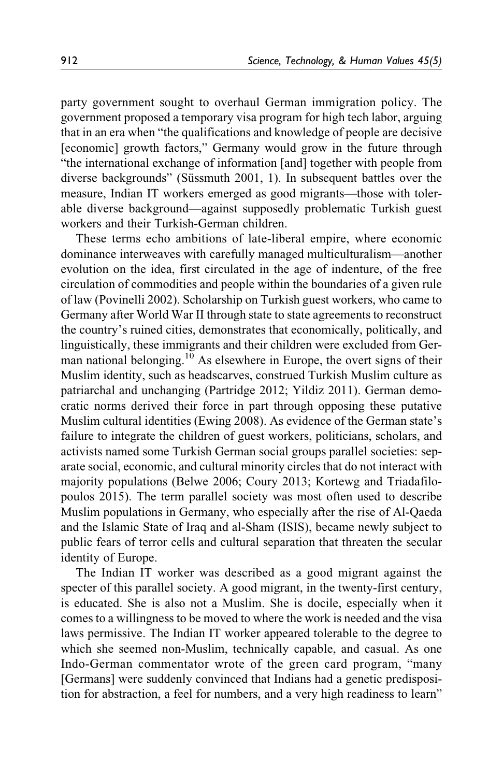party government sought to overhaul German immigration policy. The government proposed a temporary visa program for high tech labor, arguing that in an era when "the qualifications and knowledge of people are decisive [economic] growth factors," Germany would grow in the future through "the international exchange of information [and] together with people from diverse backgrounds" (Süssmuth 2001, 1). In subsequent battles over the measure, Indian IT workers emerged as good migrants—those with tolerable diverse background—against supposedly problematic Turkish guest workers and their Turkish-German children.

These terms echo ambitions of late-liberal empire, where economic dominance interweaves with carefully managed multiculturalism—another evolution on the idea, first circulated in the age of indenture, of the free circulation of commodities and people within the boundaries of a given rule of law (Povinelli 2002). Scholarship on Turkish guest workers, who came to Germany after World War II through state to state agreements to reconstruct the country's ruined cities, demonstrates that economically, politically, and linguistically, these immigrants and their children were excluded from German national belonging.<sup>10</sup> As elsewhere in Europe, the overt signs of their Muslim identity, such as headscarves, construed Turkish Muslim culture as patriarchal and unchanging (Partridge 2012; Yildiz 2011). German democratic norms derived their force in part through opposing these putative Muslim cultural identities (Ewing 2008). As evidence of the German state's failure to integrate the children of guest workers, politicians, scholars, and activists named some Turkish German social groups parallel societies: separate social, economic, and cultural minority circles that do not interact with majority populations (Belwe 2006; Coury 2013; Kortewg and Triadafilopoulos 2015). The term parallel society was most often used to describe Muslim populations in Germany, who especially after the rise of Al-Qaeda and the Islamic State of Iraq and al-Sham (ISIS), became newly subject to public fears of terror cells and cultural separation that threaten the secular identity of Europe.

The Indian IT worker was described as a good migrant against the specter of this parallel society. A good migrant, in the twenty-first century, is educated. She is also not a Muslim. She is docile, especially when it comes to a willingness to be moved to where the work is needed and the visa laws permissive. The Indian IT worker appeared tolerable to the degree to which she seemed non-Muslim, technically capable, and casual. As one Indo-German commentator wrote of the green card program, "many [Germans] were suddenly convinced that Indians had a genetic predisposition for abstraction, a feel for numbers, and a very high readiness to learn"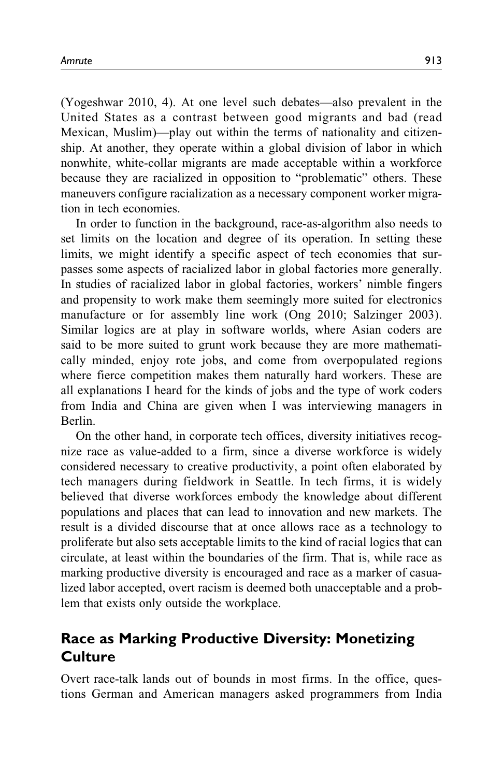(Yogeshwar 2010, 4). At one level such debates—also prevalent in the United States as a contrast between good migrants and bad (read Mexican, Muslim)—play out within the terms of nationality and citizenship. At another, they operate within a global division of labor in which nonwhite, white-collar migrants are made acceptable within a workforce because they are racialized in opposition to "problematic" others. These maneuvers configure racialization as a necessary component worker migration in tech economies.

In order to function in the background, race-as-algorithm also needs to set limits on the location and degree of its operation. In setting these limits, we might identify a specific aspect of tech economies that surpasses some aspects of racialized labor in global factories more generally. In studies of racialized labor in global factories, workers' nimble fingers and propensity to work make them seemingly more suited for electronics manufacture or for assembly line work (Ong 2010; Salzinger 2003). Similar logics are at play in software worlds, where Asian coders are said to be more suited to grunt work because they are more mathematically minded, enjoy rote jobs, and come from overpopulated regions where fierce competition makes them naturally hard workers. These are all explanations I heard for the kinds of jobs and the type of work coders from India and China are given when I was interviewing managers in Berlin.

On the other hand, in corporate tech offices, diversity initiatives recognize race as value-added to a firm, since a diverse workforce is widely considered necessary to creative productivity, a point often elaborated by tech managers during fieldwork in Seattle. In tech firms, it is widely believed that diverse workforces embody the knowledge about different populations and places that can lead to innovation and new markets. The result is a divided discourse that at once allows race as a technology to proliferate but also sets acceptable limits to the kind of racial logics that can circulate, at least within the boundaries of the firm. That is, while race as marking productive diversity is encouraged and race as a marker of casualized labor accepted, overt racism is deemed both unacceptable and a problem that exists only outside the workplace.

# Race as Marking Productive Diversity: Monetizing **Culture**

Overt race-talk lands out of bounds in most firms. In the office, questions German and American managers asked programmers from India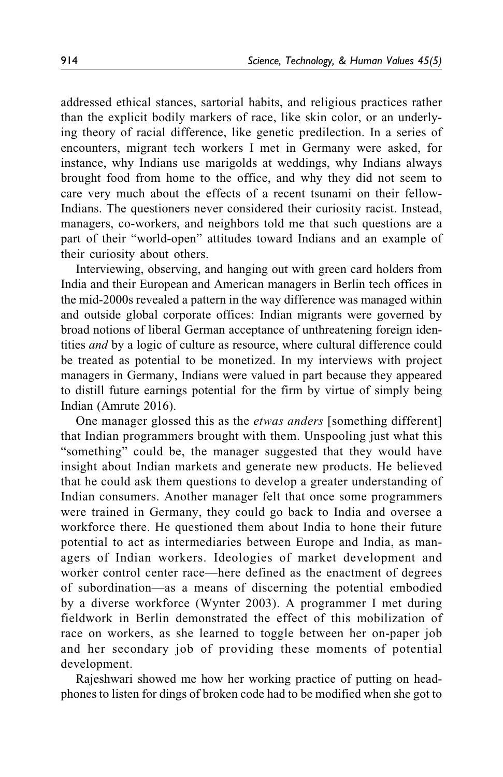addressed ethical stances, sartorial habits, and religious practices rather than the explicit bodily markers of race, like skin color, or an underlying theory of racial difference, like genetic predilection. In a series of encounters, migrant tech workers I met in Germany were asked, for instance, why Indians use marigolds at weddings, why Indians always brought food from home to the office, and why they did not seem to care very much about the effects of a recent tsunami on their fellow-Indians. The questioners never considered their curiosity racist. Instead, managers, co-workers, and neighbors told me that such questions are a part of their "world-open" attitudes toward Indians and an example of their curiosity about others.

Interviewing, observing, and hanging out with green card holders from India and their European and American managers in Berlin tech offices in the mid-2000s revealed a pattern in the way difference was managed within and outside global corporate offices: Indian migrants were governed by broad notions of liberal German acceptance of unthreatening foreign identities and by a logic of culture as resource, where cultural difference could be treated as potential to be monetized. In my interviews with project managers in Germany, Indians were valued in part because they appeared to distill future earnings potential for the firm by virtue of simply being Indian (Amrute 2016).

One manager glossed this as the etwas anders [something different] that Indian programmers brought with them. Unspooling just what this "something" could be, the manager suggested that they would have insight about Indian markets and generate new products. He believed that he could ask them questions to develop a greater understanding of Indian consumers. Another manager felt that once some programmers were trained in Germany, they could go back to India and oversee a workforce there. He questioned them about India to hone their future potential to act as intermediaries between Europe and India, as managers of Indian workers. Ideologies of market development and worker control center race—here defined as the enactment of degrees of subordination—as a means of discerning the potential embodied by a diverse workforce (Wynter 2003). A programmer I met during fieldwork in Berlin demonstrated the effect of this mobilization of race on workers, as she learned to toggle between her on-paper job and her secondary job of providing these moments of potential development.

Rajeshwari showed me how her working practice of putting on headphones to listen for dings of broken code had to be modified when she got to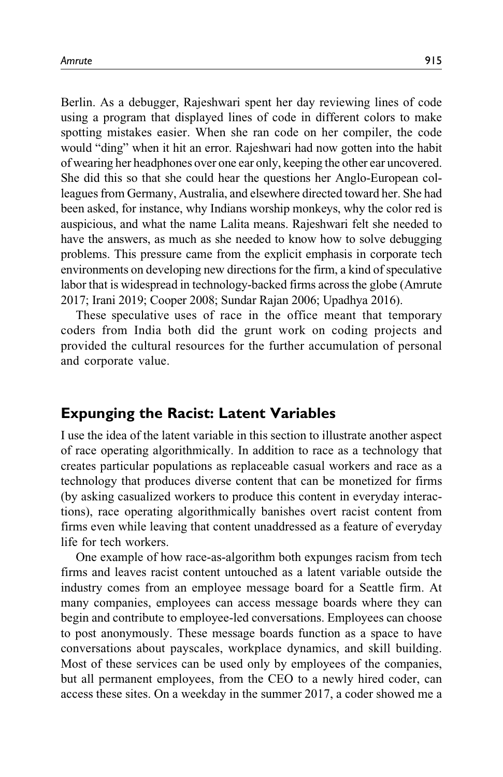Berlin. As a debugger, Rajeshwari spent her day reviewing lines of code using a program that displayed lines of code in different colors to make spotting mistakes easier. When she ran code on her compiler, the code would "ding" when it hit an error. Rajeshwari had now gotten into the habit of wearing her headphones over one ear only, keeping the other ear uncovered. She did this so that she could hear the questions her Anglo-European colleagues from Germany, Australia, and elsewhere directed toward her. She had been asked, for instance, why Indians worship monkeys, why the color red is auspicious, and what the name Lalita means. Rajeshwari felt she needed to have the answers, as much as she needed to know how to solve debugging problems. This pressure came from the explicit emphasis in corporate tech environments on developing new directions for the firm, a kind of speculative labor that is widespread in technology-backed firms across the globe (Amrute 2017; Irani 2019; Cooper 2008; Sundar Rajan 2006; Upadhya 2016).

These speculative uses of race in the office meant that temporary coders from India both did the grunt work on coding projects and provided the cultural resources for the further accumulation of personal and corporate value.

# Expunging the Racist: Latent Variables

I use the idea of the latent variable in this section to illustrate another aspect of race operating algorithmically. In addition to race as a technology that creates particular populations as replaceable casual workers and race as a technology that produces diverse content that can be monetized for firms (by asking casualized workers to produce this content in everyday interactions), race operating algorithmically banishes overt racist content from firms even while leaving that content unaddressed as a feature of everyday life for tech workers.

One example of how race-as-algorithm both expunges racism from tech firms and leaves racist content untouched as a latent variable outside the industry comes from an employee message board for a Seattle firm. At many companies, employees can access message boards where they can begin and contribute to employee-led conversations. Employees can choose to post anonymously. These message boards function as a space to have conversations about payscales, workplace dynamics, and skill building. Most of these services can be used only by employees of the companies, but all permanent employees, from the CEO to a newly hired coder, can access these sites. On a weekday in the summer 2017, a coder showed me a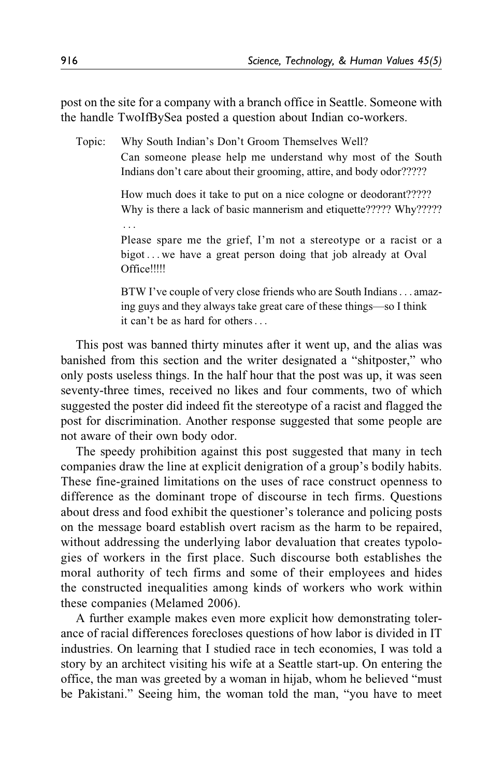post on the site for a company with a branch office in Seattle. Someone with the handle TwoIfBySea posted a question about Indian co-workers.

Topic: Why South Indian's Don't Groom Themselves Well? Can someone please help me understand why most of the South

> How much does it take to put on a nice cologne or deodorant????? Why is there a lack of basic mannerism and etiquette????? Why?????

Indians don't care about their grooming, attire, and body odor?????

Please spare me the grief, I'm not a stereotype or a racist or a bigot ... we have a great person doing that job already at Oval Office!!!!!

BTW I've couple of very close friends who are South Indians... amazing guys and they always take great care of these things—so I think it can't be as hard for others...

This post was banned thirty minutes after it went up, and the alias was banished from this section and the writer designated a "shitposter," who only posts useless things. In the half hour that the post was up, it was seen seventy-three times, received no likes and four comments, two of which suggested the poster did indeed fit the stereotype of a racist and flagged the post for discrimination. Another response suggested that some people are not aware of their own body odor.

The speedy prohibition against this post suggested that many in tech companies draw the line at explicit denigration of a group's bodily habits. These fine-grained limitations on the uses of race construct openness to difference as the dominant trope of discourse in tech firms. Questions about dress and food exhibit the questioner's tolerance and policing posts on the message board establish overt racism as the harm to be repaired, without addressing the underlying labor devaluation that creates typologies of workers in the first place. Such discourse both establishes the moral authority of tech firms and some of their employees and hides the constructed inequalities among kinds of workers who work within these companies (Melamed 2006).

A further example makes even more explicit how demonstrating tolerance of racial differences forecloses questions of how labor is divided in IT industries. On learning that I studied race in tech economies, I was told a story by an architect visiting his wife at a Seattle start-up. On entering the office, the man was greeted by a woman in hijab, whom he believed "must be Pakistani." Seeing him, the woman told the man, "you have to meet

...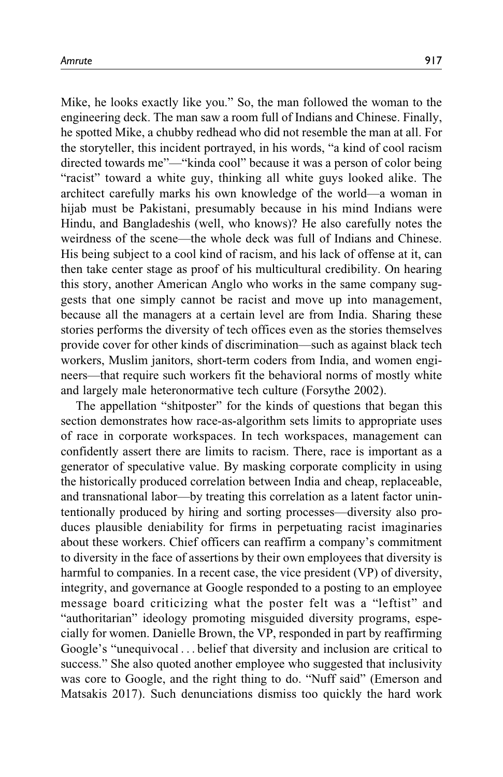Mike, he looks exactly like you." So, the man followed the woman to the engineering deck. The man saw a room full of Indians and Chinese. Finally, he spotted Mike, a chubby redhead who did not resemble the man at all. For the storyteller, this incident portrayed, in his words, "a kind of cool racism directed towards me"—"kinda cool" because it was a person of color being "racist" toward a white guy, thinking all white guys looked alike. The architect carefully marks his own knowledge of the world—a woman in hijab must be Pakistani, presumably because in his mind Indians were Hindu, and Bangladeshis (well, who knows)? He also carefully notes the weirdness of the scene—the whole deck was full of Indians and Chinese. His being subject to a cool kind of racism, and his lack of offense at it, can then take center stage as proof of his multicultural credibility. On hearing this story, another American Anglo who works in the same company suggests that one simply cannot be racist and move up into management, because all the managers at a certain level are from India. Sharing these stories performs the diversity of tech offices even as the stories themselves provide cover for other kinds of discrimination—such as against black tech workers, Muslim janitors, short-term coders from India, and women engineers—that require such workers fit the behavioral norms of mostly white and largely male heteronormative tech culture (Forsythe 2002).

The appellation "shitposter" for the kinds of questions that began this section demonstrates how race-as-algorithm sets limits to appropriate uses of race in corporate workspaces. In tech workspaces, management can confidently assert there are limits to racism. There, race is important as a generator of speculative value. By masking corporate complicity in using the historically produced correlation between India and cheap, replaceable, and transnational labor—by treating this correlation as a latent factor unintentionally produced by hiring and sorting processes—diversity also produces plausible deniability for firms in perpetuating racist imaginaries about these workers. Chief officers can reaffirm a company's commitment to diversity in the face of assertions by their own employees that diversity is harmful to companies. In a recent case, the vice president (VP) of diversity, integrity, and governance at Google responded to a posting to an employee message board criticizing what the poster felt was a "leftist" and "authoritarian" ideology promoting misguided diversity programs, especially for women. Danielle Brown, the VP, responded in part by reaffirming Google's "unequivocal ... belief that diversity and inclusion are critical to success." She also quoted another employee who suggested that inclusivity was core to Google, and the right thing to do. "Nuff said" (Emerson and Matsakis 2017). Such denunciations dismiss too quickly the hard work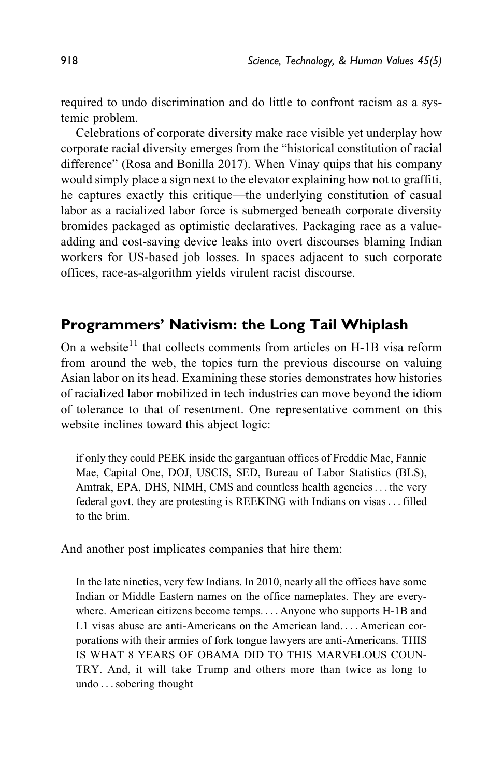required to undo discrimination and do little to confront racism as a systemic problem.

Celebrations of corporate diversity make race visible yet underplay how corporate racial diversity emerges from the "historical constitution of racial difference" (Rosa and Bonilla 2017). When Vinay quips that his company would simply place a sign next to the elevator explaining how not to graffiti, he captures exactly this critique—the underlying constitution of casual labor as a racialized labor force is submerged beneath corporate diversity bromides packaged as optimistic declaratives. Packaging race as a valueadding and cost-saving device leaks into overt discourses blaming Indian workers for US-based job losses. In spaces adjacent to such corporate offices, race-as-algorithm yields virulent racist discourse.

# Programmers' Nativism: the Long Tail Whiplash

On a website<sup>11</sup> that collects comments from articles on H-1B visa reform from around the web, the topics turn the previous discourse on valuing Asian labor on its head. Examining these stories demonstrates how histories of racialized labor mobilized in tech industries can move beyond the idiom of tolerance to that of resentment. One representative comment on this website inclines toward this abject logic:

if only they could PEEK inside the gargantuan offices of Freddie Mac, Fannie Mae, Capital One, DOJ, USCIS, SED, Bureau of Labor Statistics (BLS), Amtrak, EPA, DHS, NIMH, CMS and countless health agencies... the very federal govt. they are protesting is REEKING with Indians on visas... filled to the brim.

And another post implicates companies that hire them:

In the late nineties, very few Indians. In 2010, nearly all the offices have some Indian or Middle Eastern names on the office nameplates. They are everywhere. American citizens become temps. ... Anyone who supports H-1B and L1 visas abuse are anti-Americans on the American land. ... American corporations with their armies of fork tongue lawyers are anti-Americans. THIS IS WHAT 8 YEARS OF OBAMA DID TO THIS MARVELOUS COUN-TRY. And, it will take Trump and others more than twice as long to undo ...sobering thought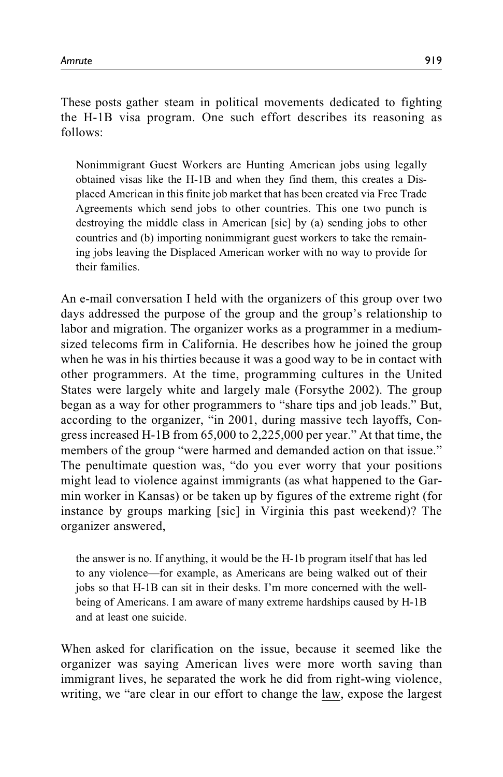These posts gather steam in political movements dedicated to fighting the H-1B visa program. One such effort describes its reasoning as follows:

Nonimmigrant Guest Workers are Hunting American jobs using legally obtained visas like the H-1B and when they find them, this creates a Displaced American in this finite job market that has been created via Free Trade Agreements which send jobs to other countries. This one two punch is destroying the middle class in American [sic] by (a) sending jobs to other countries and (b) importing nonimmigrant guest workers to take the remaining jobs leaving the Displaced American worker with no way to provide for their families.

An e-mail conversation I held with the organizers of this group over two days addressed the purpose of the group and the group's relationship to labor and migration. The organizer works as a programmer in a mediumsized telecoms firm in California. He describes how he joined the group when he was in his thirties because it was a good way to be in contact with other programmers. At the time, programming cultures in the United States were largely white and largely male (Forsythe 2002). The group began as a way for other programmers to "share tips and job leads." But, according to the organizer, "in 2001, during massive tech layoffs, Congress increased H-1B from 65,000 to 2,225,000 per year." At that time, the members of the group "were harmed and demanded action on that issue." The penultimate question was, "do you ever worry that your positions might lead to violence against immigrants (as what happened to the Garmin worker in Kansas) or be taken up by figures of the extreme right (for instance by groups marking [sic] in Virginia this past weekend)? The organizer answered,

the answer is no. If anything, it would be the H-1b program itself that has led to any violence—for example, as Americans are being walked out of their jobs so that H-1B can sit in their desks. I'm more concerned with the wellbeing of Americans. I am aware of many extreme hardships caused by H-1B and at least one suicide.

When asked for clarification on the issue, because it seemed like the organizer was saying American lives were more worth saving than immigrant lives, he separated the work he did from right-wing violence, writing, we "are clear in our effort to change the law, expose the largest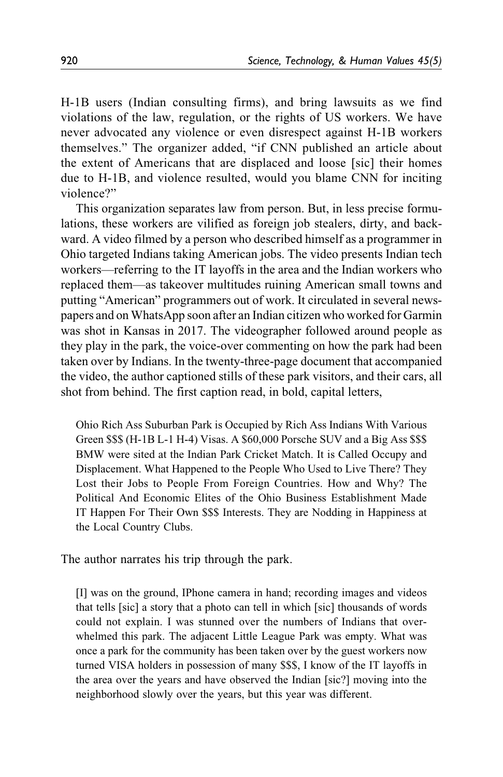H-1B users (Indian consulting firms), and bring lawsuits as we find violations of the law, regulation, or the rights of US workers. We have never advocated any violence or even disrespect against H-1B workers themselves." The organizer added, "if CNN published an article about the extent of Americans that are displaced and loose [sic] their homes due to H-1B, and violence resulted, would you blame CNN for inciting violence?"

This organization separates law from person. But, in less precise formulations, these workers are vilified as foreign job stealers, dirty, and backward. A video filmed by a person who described himself as a programmer in Ohio targeted Indians taking American jobs. The video presents Indian tech workers—referring to the IT layoffs in the area and the Indian workers who replaced them—as takeover multitudes ruining American small towns and putting "American" programmers out of work. It circulated in several newspapers and on WhatsApp soon after an Indian citizen who worked for Garmin was shot in Kansas in 2017. The videographer followed around people as they play in the park, the voice-over commenting on how the park had been taken over by Indians. In the twenty-three-page document that accompanied the video, the author captioned stills of these park visitors, and their cars, all shot from behind. The first caption read, in bold, capital letters,

Ohio Rich Ass Suburban Park is Occupied by Rich Ass Indians With Various Green \$\$\$ (H-1B L-1 H-4) Visas. A \$60,000 Porsche SUV and a Big Ass \$\$\$ BMW were sited at the Indian Park Cricket Match. It is Called Occupy and Displacement. What Happened to the People Who Used to Live There? They Lost their Jobs to People From Foreign Countries. How and Why? The Political And Economic Elites of the Ohio Business Establishment Made IT Happen For Their Own \$\$\$ Interests. They are Nodding in Happiness at the Local Country Clubs.

The author narrates his trip through the park.

[I] was on the ground, IPhone camera in hand; recording images and videos that tells [sic] a story that a photo can tell in which [sic] thousands of words could not explain. I was stunned over the numbers of Indians that overwhelmed this park. The adjacent Little League Park was empty. What was once a park for the community has been taken over by the guest workers now turned VISA holders in possession of many \$\$\$, I know of the IT layoffs in the area over the years and have observed the Indian [sic?] moving into the neighborhood slowly over the years, but this year was different.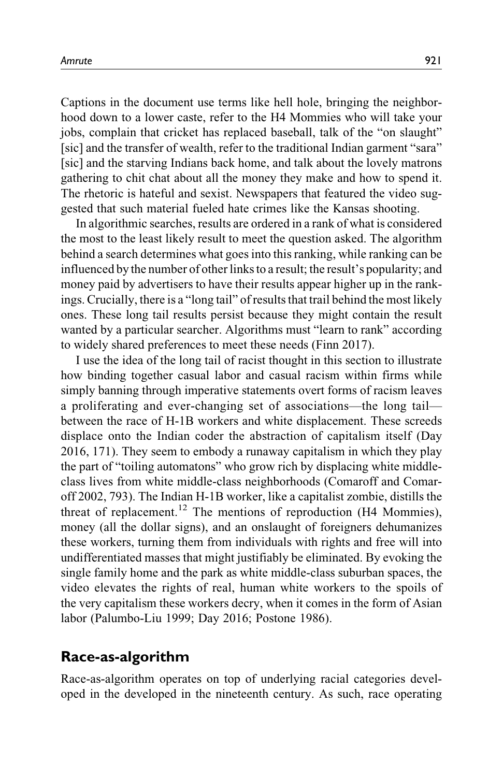Captions in the document use terms like hell hole, bringing the neighborhood down to a lower caste, refer to the H4 Mommies who will take your jobs, complain that cricket has replaced baseball, talk of the "on slaught" [sic] and the transfer of wealth, refer to the traditional Indian garment "sara" [sic] and the starving Indians back home, and talk about the lovely matrons gathering to chit chat about all the money they make and how to spend it. The rhetoric is hateful and sexist. Newspapers that featured the video suggested that such material fueled hate crimes like the Kansas shooting.

In algorithmic searches, results are ordered in a rank of what is considered the most to the least likely result to meet the question asked. The algorithm behind a search determines what goes into this ranking, while ranking can be influenced by the number of other links to a result; the result's popularity; and money paid by advertisers to have their results appear higher up in the rankings. Crucially, there is a "long tail" of results that trail behind the most likely ones. These long tail results persist because they might contain the result wanted by a particular searcher. Algorithms must "learn to rank" according to widely shared preferences to meet these needs (Finn 2017).

I use the idea of the long tail of racist thought in this section to illustrate how binding together casual labor and casual racism within firms while simply banning through imperative statements overt forms of racism leaves a proliferating and ever-changing set of associations—the long tail between the race of H-1B workers and white displacement. These screeds displace onto the Indian coder the abstraction of capitalism itself (Day 2016, 171). They seem to embody a runaway capitalism in which they play the part of "toiling automatons" who grow rich by displacing white middleclass lives from white middle-class neighborhoods (Comaroff and Comaroff 2002, 793). The Indian H-1B worker, like a capitalist zombie, distills the threat of replacement.<sup>12</sup> The mentions of reproduction (H4 Mommies), money (all the dollar signs), and an onslaught of foreigners dehumanizes these workers, turning them from individuals with rights and free will into undifferentiated masses that might justifiably be eliminated. By evoking the single family home and the park as white middle-class suburban spaces, the video elevates the rights of real, human white workers to the spoils of the very capitalism these workers decry, when it comes in the form of Asian labor (Palumbo-Liu 1999; Day 2016; Postone 1986).

# Race-as-algorithm

Race-as-algorithm operates on top of underlying racial categories developed in the developed in the nineteenth century. As such, race operating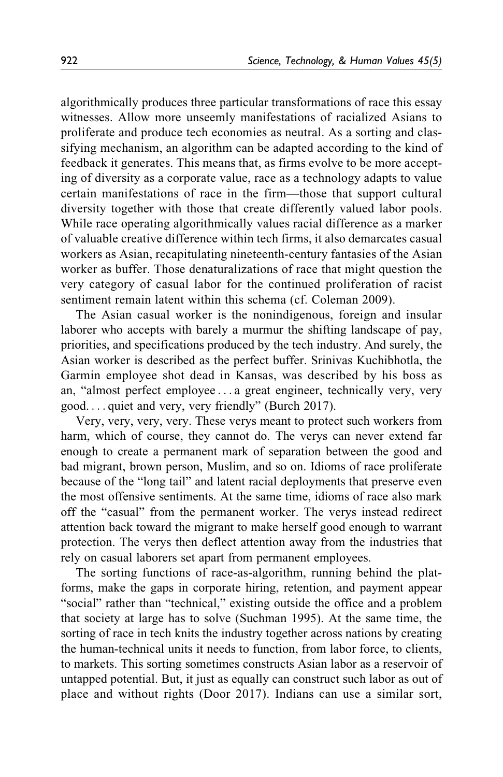algorithmically produces three particular transformations of race this essay witnesses. Allow more unseemly manifestations of racialized Asians to proliferate and produce tech economies as neutral. As a sorting and classifying mechanism, an algorithm can be adapted according to the kind of feedback it generates. This means that, as firms evolve to be more accepting of diversity as a corporate value, race as a technology adapts to value certain manifestations of race in the firm—those that support cultural diversity together with those that create differently valued labor pools. While race operating algorithmically values racial difference as a marker of valuable creative difference within tech firms, it also demarcates casual workers as Asian, recapitulating nineteenth-century fantasies of the Asian worker as buffer. Those denaturalizations of race that might question the very category of casual labor for the continued proliferation of racist sentiment remain latent within this schema (cf. Coleman 2009).

The Asian casual worker is the nonindigenous, foreign and insular laborer who accepts with barely a murmur the shifting landscape of pay, priorities, and specifications produced by the tech industry. And surely, the Asian worker is described as the perfect buffer. Srinivas Kuchibhotla, the Garmin employee shot dead in Kansas, was described by his boss as an, "almost perfect employee ... a great engineer, technically very, very good. ... quiet and very, very friendly" (Burch 2017).

Very, very, very, very. These verys meant to protect such workers from harm, which of course, they cannot do. The verys can never extend far enough to create a permanent mark of separation between the good and bad migrant, brown person, Muslim, and so on. Idioms of race proliferate because of the "long tail" and latent racial deployments that preserve even the most offensive sentiments. At the same time, idioms of race also mark off the "casual" from the permanent worker. The verys instead redirect attention back toward the migrant to make herself good enough to warrant protection. The verys then deflect attention away from the industries that rely on casual laborers set apart from permanent employees.

The sorting functions of race-as-algorithm, running behind the platforms, make the gaps in corporate hiring, retention, and payment appear "social" rather than "technical," existing outside the office and a problem that society at large has to solve (Suchman 1995). At the same time, the sorting of race in tech knits the industry together across nations by creating the human-technical units it needs to function, from labor force, to clients, to markets. This sorting sometimes constructs Asian labor as a reservoir of untapped potential. But, it just as equally can construct such labor as out of place and without rights (Door 2017). Indians can use a similar sort,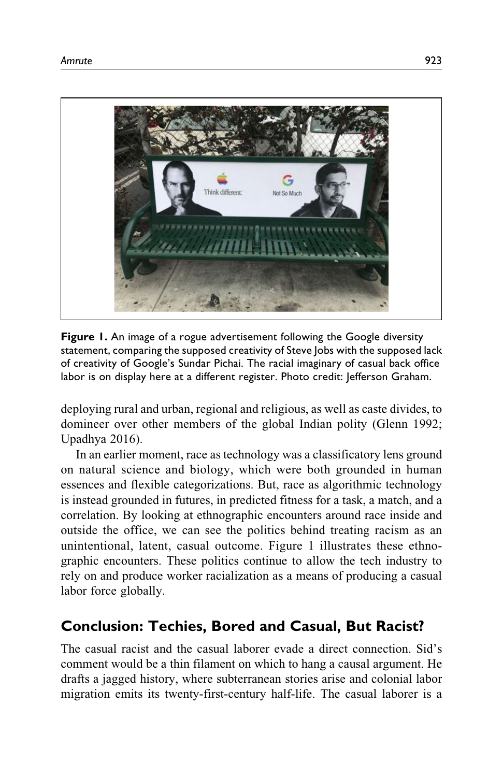

Figure 1. An image of a rogue advertisement following the Google diversity statement, comparing the supposed creativity of Steve Jobs with the supposed lack of creativity of Google's Sundar Pichai. The racial imaginary of casual back office labor is on display here at a different register. Photo credit: Jefferson Graham.

deploying rural and urban, regional and religious, as well as caste divides, to domineer over other members of the global Indian polity (Glenn 1992; Upadhya 2016).

In an earlier moment, race as technology was a classificatory lens ground on natural science and biology, which were both grounded in human essences and flexible categorizations. But, race as algorithmic technology is instead grounded in futures, in predicted fitness for a task, a match, and a correlation. By looking at ethnographic encounters around race inside and outside the office, we can see the politics behind treating racism as an unintentional, latent, casual outcome. Figure 1 illustrates these ethnographic encounters. These politics continue to allow the tech industry to rely on and produce worker racialization as a means of producing a casual labor force globally.

# Conclusion: Techies, Bored and Casual, But Racist?

The casual racist and the casual laborer evade a direct connection. Sid's comment would be a thin filament on which to hang a causal argument. He drafts a jagged history, where subterranean stories arise and colonial labor migration emits its twenty-first-century half-life. The casual laborer is a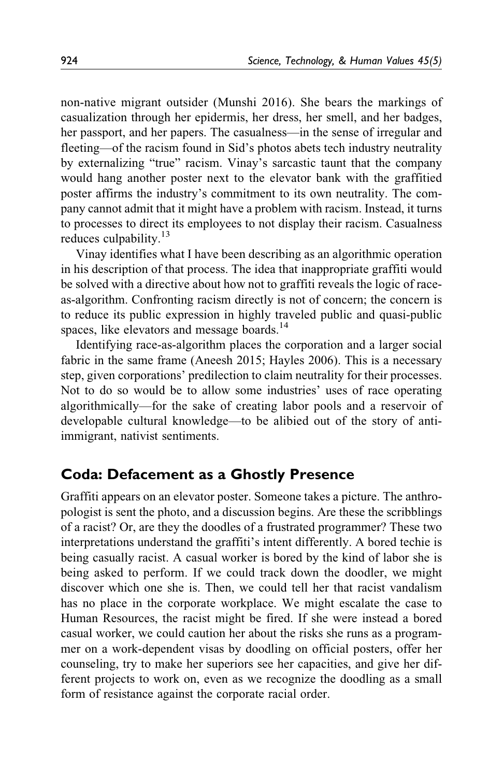non-native migrant outsider (Munshi 2016). She bears the markings of casualization through her epidermis, her dress, her smell, and her badges, her passport, and her papers. The casualness—in the sense of irregular and fleeting—of the racism found in Sid's photos abets tech industry neutrality by externalizing "true" racism. Vinay's sarcastic taunt that the company would hang another poster next to the elevator bank with the graffitied poster affirms the industry's commitment to its own neutrality. The company cannot admit that it might have a problem with racism. Instead, it turns to processes to direct its employees to not display their racism. Casualness reduces culpability.<sup>13</sup>

Vinay identifies what I have been describing as an algorithmic operation in his description of that process. The idea that inappropriate graffiti would be solved with a directive about how not to graffiti reveals the logic of raceas-algorithm. Confronting racism directly is not of concern; the concern is to reduce its public expression in highly traveled public and quasi-public spaces, like elevators and message boards.<sup>14</sup>

Identifying race-as-algorithm places the corporation and a larger social fabric in the same frame (Aneesh 2015; Hayles 2006). This is a necessary step, given corporations' predilection to claim neutrality for their processes. Not to do so would be to allow some industries' uses of race operating algorithmically—for the sake of creating labor pools and a reservoir of developable cultural knowledge—to be alibied out of the story of antiimmigrant, nativist sentiments.

# Coda: Defacement as a Ghostly Presence

Graffiti appears on an elevator poster. Someone takes a picture. The anthropologist is sent the photo, and a discussion begins. Are these the scribblings of a racist? Or, are they the doodles of a frustrated programmer? These two interpretations understand the graffiti's intent differently. A bored techie is being casually racist. A casual worker is bored by the kind of labor she is being asked to perform. If we could track down the doodler, we might discover which one she is. Then, we could tell her that racist vandalism has no place in the corporate workplace. We might escalate the case to Human Resources, the racist might be fired. If she were instead a bored casual worker, we could caution her about the risks she runs as a programmer on a work-dependent visas by doodling on official posters, offer her counseling, try to make her superiors see her capacities, and give her different projects to work on, even as we recognize the doodling as a small form of resistance against the corporate racial order.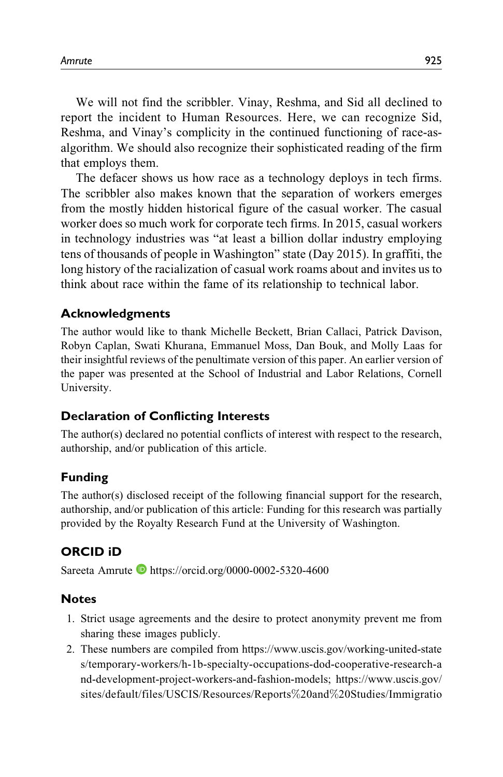We will not find the scribbler. Vinay, Reshma, and Sid all declined to report the incident to Human Resources. Here, we can recognize Sid, Reshma, and Vinay's complicity in the continued functioning of race-asalgorithm. We should also recognize their sophisticated reading of the firm that employs them.

The defacer shows us how race as a technology deploys in tech firms. The scribbler also makes known that the separation of workers emerges from the mostly hidden historical figure of the casual worker. The casual worker does so much work for corporate tech firms. In 2015, casual workers in technology industries was "at least a billion dollar industry employing tens of thousands of people in Washington" state (Day 2015). In graffiti, the long history of the racialization of casual work roams about and invites us to think about race within the fame of its relationship to technical labor.

### Acknowledgments

The author would like to thank Michelle Beckett, Brian Callaci, Patrick Davison, Robyn Caplan, Swati Khurana, Emmanuel Moss, Dan Bouk, and Molly Laas for their insightful reviews of the penultimate version of this paper. An earlier version of the paper was presented at the School of Industrial and Labor Relations, Cornell University.

## Declaration of Conflicting Interests

The author(s) declared no potential conflicts of interest with respect to the research, authorship, and/or publication of this article.

## Funding

The author(s) disclosed receipt of the following financial support for the research, authorship, and/or publication of this article: Funding for this research was partially provided by the Royalty Research Fund at the University of Washington.

## ORCID iD

Sareeta Amrute D<https://orcid.org/0000-0002-5320-4600>

#### Notes

- 1. Strict usage agreements and the desire to protect anonymity prevent me from sharing these images publicly.
- 2. These numbers are compiled from [https://www.uscis.gov/working-united-state](https://www.uscis.gov/working-united-states/temporary-workers/h-1b-specialty-occupations-dod-cooperative-research-and-development-project-workers-and-fashion-models) [s/temporary-workers/h-1b-specialty-occupations-dod-cooperative-research-a](https://www.uscis.gov/working-united-states/temporary-workers/h-1b-specialty-occupations-dod-cooperative-research-and-development-project-workers-and-fashion-models) [nd-development-project-workers-and-fashion-models](https://www.uscis.gov/working-united-states/temporary-workers/h-1b-specialty-occupations-dod-cooperative-research-and-development-project-workers-and-fashion-models); [https://www.uscis.gov/](https://www.uscis.gov/sites/default/files/USCIS/Resources/Reports%20and%20Studies/Immigration%20Forms%20Data/BAHA/non-immigrant-worker-rfe-h-1b-quarterly-data-fy2015-fy2019-q1.pdf) [sites/default/files/USCIS/Resources/Reports](https://www.uscis.gov/sites/default/files/USCIS/Resources/Reports%20and%20Studies/Immigration%20Forms%20Data/BAHA/non-immigrant-worker-rfe-h-1b-quarterly-data-fy2015-fy2019-q1.pdf)%[20and](https://www.uscis.gov/sites/default/files/USCIS/Resources/Reports%20and%20Studies/Immigration%20Forms%20Data/BAHA/non-immigrant-worker-rfe-h-1b-quarterly-data-fy2015-fy2019-q1.pdf)%[20Studies/Immigratio](https://www.uscis.gov/sites/default/files/USCIS/Resources/Reports%20and%20Studies/Immigration%20Forms%20Data/BAHA/non-immigrant-worker-rfe-h-1b-quarterly-data-fy2015-fy2019-q1.pdf)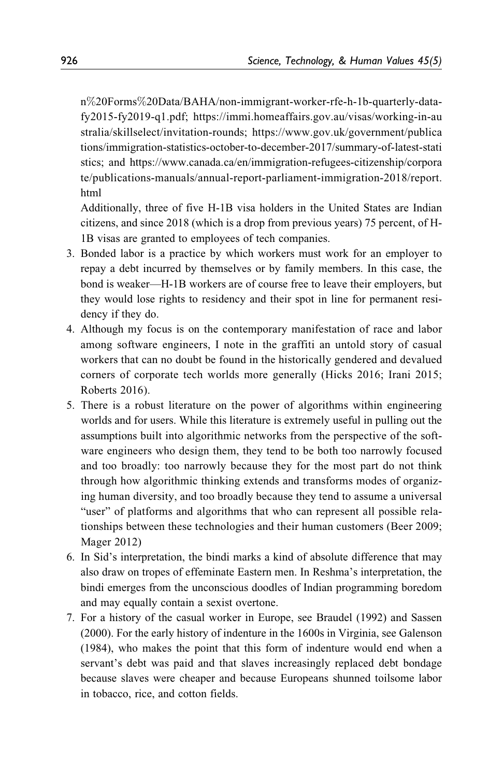[n](https://www.uscis.gov/sites/default/files/USCIS/Resources/Reports%20and%20Studies/Immigration%20Forms%20Data/BAHA/non-immigrant-worker-rfe-h-1b-quarterly-data-fy2015-fy2019-q1.pdf)%[20Forms](https://www.uscis.gov/sites/default/files/USCIS/Resources/Reports%20and%20Studies/Immigration%20Forms%20Data/BAHA/non-immigrant-worker-rfe-h-1b-quarterly-data-fy2015-fy2019-q1.pdf)%[20Data/BAHA/non-immigrant-worker-rfe-h-1b-quarterly-data](https://www.uscis.gov/sites/default/files/USCIS/Resources/Reports%20and%20Studies/Immigration%20Forms%20Data/BAHA/non-immigrant-worker-rfe-h-1b-quarterly-data-fy2015-fy2019-q1.pdf)[fy2015-fy2019-q1.pdf;](https://www.uscis.gov/sites/default/files/USCIS/Resources/Reports%20and%20Studies/Immigration%20Forms%20Data/BAHA/non-immigrant-worker-rfe-h-1b-quarterly-data-fy2015-fy2019-q1.pdf) [https://immi.homeaffairs.gov.au/visas/working-in-au](https://immi.homeaffairs.gov.au/visas/working-in-australia/skillselect/invitation-rounds) [stralia/skillselect/invitation-rounds](https://immi.homeaffairs.gov.au/visas/working-in-australia/skillselect/invitation-rounds); [https://www.gov.uk/government/publica](https://www.gov.uk/government/publications/immigration-statistics-october-to-december-2017/summary-of-latest-statistics) [tions/immigration-statistics-october-to-december-2017/summary-of-latest-stati](https://www.gov.uk/government/publications/immigration-statistics-october-to-december-2017/summary-of-latest-statistics) [stics;](https://www.gov.uk/government/publications/immigration-statistics-october-to-december-2017/summary-of-latest-statistics) and [https://www.canada.ca/en/immigration-refugees-citizenship/corpora](https://www.canada.ca/en/immigration-refugees-citizenship/corporate/publications-manuals/annual-report-parliament-immigration-2018/report.html) [te/publications-manuals/annual-report-parliament-immigration-2018/report.](https://www.canada.ca/en/immigration-refugees-citizenship/corporate/publications-manuals/annual-report-parliament-immigration-2018/report.html) [html](https://www.canada.ca/en/immigration-refugees-citizenship/corporate/publications-manuals/annual-report-parliament-immigration-2018/report.html)

Additionally, three of five H-1B visa holders in the United States are Indian citizens, and since 2018 (which is a drop from previous years) 75 percent, of H-1B visas are granted to employees of tech companies.

- 3. Bonded labor is a practice by which workers must work for an employer to repay a debt incurred by themselves or by family members. In this case, the bond is weaker—H-1B workers are of course free to leave their employers, but they would lose rights to residency and their spot in line for permanent residency if they do.
- 4. Although my focus is on the contemporary manifestation of race and labor among software engineers, I note in the graffiti an untold story of casual workers that can no doubt be found in the historically gendered and devalued corners of corporate tech worlds more generally (Hicks 2016; Irani 2015; Roberts 2016).
- 5. There is a robust literature on the power of algorithms within engineering worlds and for users. While this literature is extremely useful in pulling out the assumptions built into algorithmic networks from the perspective of the software engineers who design them, they tend to be both too narrowly focused and too broadly: too narrowly because they for the most part do not think through how algorithmic thinking extends and transforms modes of organizing human diversity, and too broadly because they tend to assume a universal "user" of platforms and algorithms that who can represent all possible relationships between these technologies and their human customers (Beer 2009; Mager 2012)
- 6. In Sid's interpretation, the bindi marks a kind of absolute difference that may also draw on tropes of effeminate Eastern men. In Reshma's interpretation, the bindi emerges from the unconscious doodles of Indian programming boredom and may equally contain a sexist overtone.
- 7. For a history of the casual worker in Europe, see Braudel (1992) and Sassen (2000). For the early history of indenture in the 1600s in Virginia, see Galenson (1984), who makes the point that this form of indenture would end when a servant's debt was paid and that slaves increasingly replaced debt bondage because slaves were cheaper and because Europeans shunned toilsome labor in tobacco, rice, and cotton fields.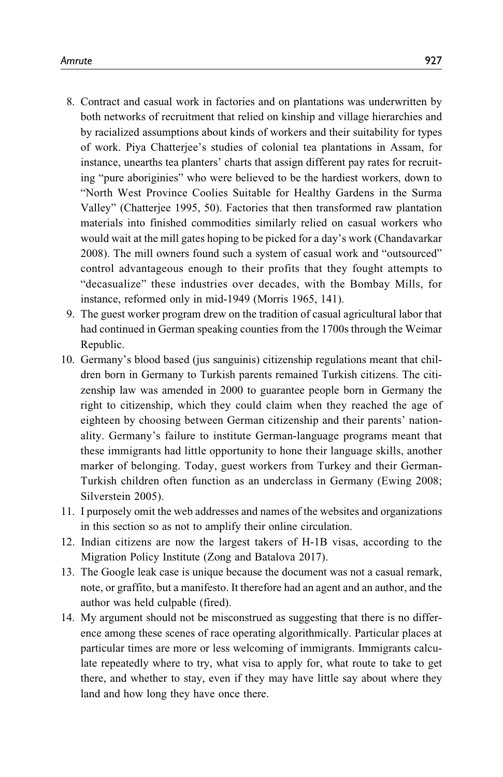- 8. Contract and casual work in factories and on plantations was underwritten by both networks of recruitment that relied on kinship and village hierarchies and by racialized assumptions about kinds of workers and their suitability for types of work. Piya Chatterjee's studies of colonial tea plantations in Assam, for instance, unearths tea planters' charts that assign different pay rates for recruiting "pure aboriginies" who were believed to be the hardiest workers, down to "North West Province Coolies Suitable for Healthy Gardens in the Surma Valley" (Chatterjee 1995, 50). Factories that then transformed raw plantation materials into finished commodities similarly relied on casual workers who would wait at the mill gates hoping to be picked for a day's work (Chandavarkar 2008). The mill owners found such a system of casual work and "outsourced" control advantageous enough to their profits that they fought attempts to "decasualize" these industries over decades, with the Bombay Mills, for instance, reformed only in mid-1949 (Morris 1965, 141).
- 9. The guest worker program drew on the tradition of casual agricultural labor that had continued in German speaking counties from the 1700s through the Weimar Republic.
- 10. Germany's blood based (jus sanguinis) citizenship regulations meant that children born in Germany to Turkish parents remained Turkish citizens. The citizenship law was amended in 2000 to guarantee people born in Germany the right to citizenship, which they could claim when they reached the age of eighteen by choosing between German citizenship and their parents' nationality. Germany's failure to institute German-language programs meant that these immigrants had little opportunity to hone their language skills, another marker of belonging. Today, guest workers from Turkey and their German-Turkish children often function as an underclass in Germany (Ewing 2008; Silverstein 2005).
- 11. I purposely omit the web addresses and names of the websites and organizations in this section so as not to amplify their online circulation.
- 12. Indian citizens are now the largest takers of H-1B visas, according to the Migration Policy Institute (Zong and Batalova 2017).
- 13. The Google leak case is unique because the document was not a casual remark, note, or graffito, but a manifesto. It therefore had an agent and an author, and the author was held culpable (fired).
- 14. My argument should not be misconstrued as suggesting that there is no difference among these scenes of race operating algorithmically. Particular places at particular times are more or less welcoming of immigrants. Immigrants calculate repeatedly where to try, what visa to apply for, what route to take to get there, and whether to stay, even if they may have little say about where they land and how long they have once there.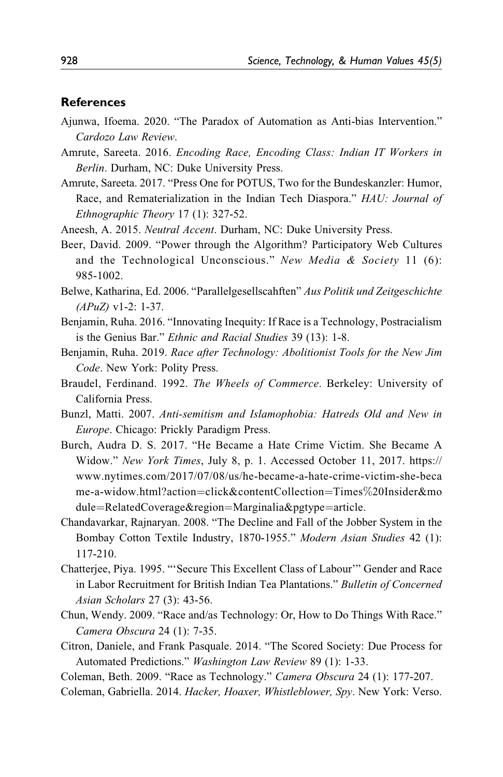#### References

- Ajunwa, Ifoema. 2020. "The Paradox of Automation as Anti-bias Intervention." Cardozo Law Review.
- Amrute, Sareeta. 2016. Encoding Race, Encoding Class: Indian IT Workers in Berlin. Durham, NC: Duke University Press.
- Amrute, Sareeta. 2017. "Press One for POTUS, Two for the Bundeskanzler: Humor, Race, and Rematerialization in the Indian Tech Diaspora." HAU: Journal of Ethnographic Theory 17 (1): 327-52.
- Aneesh, A. 2015. Neutral Accent. Durham, NC: Duke University Press.
- Beer, David. 2009. "Power through the Algorithm? Participatory Web Cultures and the Technological Unconscious." New Media & Society 11 (6): 985-1002.
- Belwe, Katharina, Ed. 2006. "Parallelgesellscahften" Aus Politik und Zeitgeschichte  $(APuZ)$  v1-2: 1-37.
- Benjamin, Ruha. 2016. "Innovating Inequity: If Race is a Technology, Postracialism is the Genius Bar." Ethnic and Racial Studies 39 (13): 1-8.
- Benjamin, Ruha. 2019. Race after Technology: Abolitionist Tools for the New Jim Code. New York: Polity Press.
- Braudel, Ferdinand. 1992. The Wheels of Commerce. Berkeley: University of California Press.
- Bunzl, Matti. 2007. Anti-semitism and Islamophobia: Hatreds Old and New in Europe. Chicago: Prickly Paradigm Press.
- Burch, Audra D. S. 2017. "He Became a Hate Crime Victim. She Became A Widow." New York Times, July 8, p. 1. Accessed October 11, 2017. [https://](https://www.nytimes.com/2017/07/08/us/he-became-a-hate-crime-victim-she-became-a-widow.html?action=click&contentCollection=Times%20Insider&module=RelatedCoverage®ion=Marginalia&pgtype=article) [www.nytimes.com/2017/07/08/us/he-became-a-hate-crime-victim-she-beca](https://www.nytimes.com/2017/07/08/us/he-became-a-hate-crime-victim-she-became-a-widow.html?action=click&contentCollection=Times%20Insider&module=RelatedCoverage®ion=Marginalia&pgtype=article) [me-a-widow.html?action](https://www.nytimes.com/2017/07/08/us/he-became-a-hate-crime-victim-she-became-a-widow.html?action=click&contentCollection=Times%20Insider&module=RelatedCoverage®ion=Marginalia&pgtype=article)=[click&contentCollection](https://www.nytimes.com/2017/07/08/us/he-became-a-hate-crime-victim-she-became-a-widow.html?action=click&contentCollection=Times%20Insider&module=RelatedCoverage®ion=Marginalia&pgtype=article)=[Times](https://www.nytimes.com/2017/07/08/us/he-became-a-hate-crime-victim-she-became-a-widow.html?action=click&contentCollection=Times%20Insider&module=RelatedCoverage®ion=Marginalia&pgtype=article)%[20Insider&mo](https://www.nytimes.com/2017/07/08/us/he-became-a-hate-crime-victim-she-became-a-widow.html?action=click&contentCollection=Times%20Insider&module=RelatedCoverage®ion=Marginalia&pgtype=article) [dule](https://www.nytimes.com/2017/07/08/us/he-became-a-hate-crime-victim-she-became-a-widow.html?action=click&contentCollection=Times%20Insider&module=RelatedCoverage®ion=Marginalia&pgtype=article)=[RelatedCoverage&region](https://www.nytimes.com/2017/07/08/us/he-became-a-hate-crime-victim-she-became-a-widow.html?action=click&contentCollection=Times%20Insider&module=RelatedCoverage®ion=Marginalia&pgtype=article)=[Marginalia&pgtype](https://www.nytimes.com/2017/07/08/us/he-became-a-hate-crime-victim-she-became-a-widow.html?action=click&contentCollection=Times%20Insider&module=RelatedCoverage®ion=Marginalia&pgtype=article)=[article](https://www.nytimes.com/2017/07/08/us/he-became-a-hate-crime-victim-she-became-a-widow.html?action=click&contentCollection=Times%20Insider&module=RelatedCoverage®ion=Marginalia&pgtype=article).
- Chandavarkar, Rajnaryan. 2008. "The Decline and Fall of the Jobber System in the Bombay Cotton Textile Industry, 1870-1955." Modern Asian Studies 42 (1): 117-210.
- Chatterjee, Piya. 1995. "'Secure This Excellent Class of Labour'" Gender and Race in Labor Recruitment for British Indian Tea Plantations." Bulletin of Concerned Asian Scholars 27 (3): 43-56.
- Chun, Wendy. 2009. "Race and/as Technology: Or, How to Do Things With Race." Camera Obscura 24 (1): 7-35.
- Citron, Daniele, and Frank Pasquale. 2014. "The Scored Society: Due Process for Automated Predictions." Washington Law Review 89 (1): 1-33.

Coleman, Beth. 2009. "Race as Technology." Camera Obscura 24 (1): 177-207.

Coleman, Gabriella. 2014. Hacker, Hoaxer, Whistleblower, Spy. New York: Verso.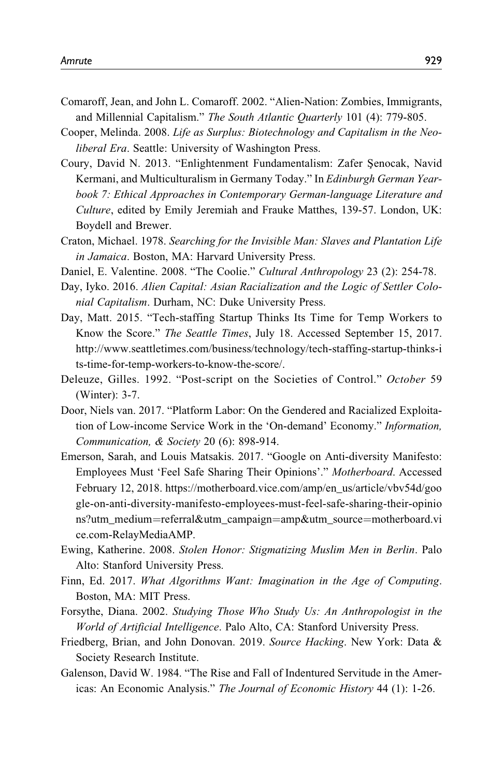- Comaroff, Jean, and John L. Comaroff. 2002. "Alien-Nation: Zombies, Immigrants, and Millennial Capitalism." The South Atlantic Quarterly 101 (4): 779-805.
- Cooper, Melinda. 2008. Life as Surplus: Biotechnology and Capitalism in the Neoliberal Era. Seattle: University of Washington Press.
- Coury, David N. 2013. "Enlightenment Fundamentalism: Zafer Şenocak, Navid Kermani, and Multiculturalism in Germany Today." In Edinburgh German Yearbook 7: Ethical Approaches in Contemporary German-language Literature and Culture, edited by Emily Jeremiah and Frauke Matthes, 139-57. London, UK: Boydell and Brewer.
- Craton, Michael. 1978. Searching for the Invisible Man: Slaves and Plantation Life in Jamaica. Boston, MA: Harvard University Press.
- Daniel, E. Valentine. 2008. "The Coolie." Cultural Anthropology 23 (2): 254-78.
- Day, Iyko. 2016. Alien Capital: Asian Racialization and the Logic of Settler Colonial Capitalism. Durham, NC: Duke University Press.
- Day, Matt. 2015. "Tech-staffing Startup Thinks Its Time for Temp Workers to Know the Score." The Seattle Times, July 18. Accessed September 15, 2017. [http://www.seattletimes.com/business/technology/tech-staffing-startup-thinks-i](http://www.seattletimes.com/business/technology/tech-staffing-startup-thinks-its-time-for-temp-workers-to-know-the-score/) [ts-time-for-temp-workers-to-know-the-score/](http://www.seattletimes.com/business/technology/tech-staffing-startup-thinks-its-time-for-temp-workers-to-know-the-score/).
- Deleuze, Gilles. 1992. "Post-script on the Societies of Control." October 59 (Winter): 3-7.
- Door, Niels van. 2017. "Platform Labor: On the Gendered and Racialized Exploitation of Low-income Service Work in the 'On-demand' Economy." Information, Communication, & Society 20 (6): 898-914.
- Emerson, Sarah, and Louis Matsakis. 2017. "Google on Anti-diversity Manifesto: Employees Must 'Feel Safe Sharing Their Opinions'." Motherboard. Accessed February 12, 2018. [https://motherboard.vice.com/amp/en\\_us/article/vbv54d/goo](https://motherboard.vice.com/amp/en_us/article/vbv54d/google-on-anti-diversity-manifesto-employees-must-feel-safe-sharing-their-opinions?utm_medium=referral&utm_campaign=amp&utm_source=motherboard.vice.com-RelayMediaAMP) [gle-on-anti-diversity-manifesto-employees-must-feel-safe-sharing-their-opinio](https://motherboard.vice.com/amp/en_us/article/vbv54d/google-on-anti-diversity-manifesto-employees-must-feel-safe-sharing-their-opinions?utm_medium=referral&utm_campaign=amp&utm_source=motherboard.vice.com-RelayMediaAMP) [ns?utm\\_medium](https://motherboard.vice.com/amp/en_us/article/vbv54d/google-on-anti-diversity-manifesto-employees-must-feel-safe-sharing-their-opinions?utm_medium=referral&utm_campaign=amp&utm_source=motherboard.vice.com-RelayMediaAMP)=[referral&utm\\_campaign](https://motherboard.vice.com/amp/en_us/article/vbv54d/google-on-anti-diversity-manifesto-employees-must-feel-safe-sharing-their-opinions?utm_medium=referral&utm_campaign=amp&utm_source=motherboard.vice.com-RelayMediaAMP)=[amp&utm\\_source](https://motherboard.vice.com/amp/en_us/article/vbv54d/google-on-anti-diversity-manifesto-employees-must-feel-safe-sharing-their-opinions?utm_medium=referral&utm_campaign=amp&utm_source=motherboard.vice.com-RelayMediaAMP)=[motherboard.vi](https://motherboard.vice.com/amp/en_us/article/vbv54d/google-on-anti-diversity-manifesto-employees-must-feel-safe-sharing-their-opinions?utm_medium=referral&utm_campaign=amp&utm_source=motherboard.vice.com-RelayMediaAMP) [ce.com-RelayMediaAMP.](https://motherboard.vice.com/amp/en_us/article/vbv54d/google-on-anti-diversity-manifesto-employees-must-feel-safe-sharing-their-opinions?utm_medium=referral&utm_campaign=amp&utm_source=motherboard.vice.com-RelayMediaAMP)
- Ewing, Katherine. 2008. Stolen Honor: Stigmatizing Muslim Men in Berlin. Palo Alto: Stanford University Press.
- Finn, Ed. 2017. What Algorithms Want: Imagination in the Age of Computing. Boston, MA: MIT Press.
- Forsythe, Diana. 2002. Studying Those Who Study Us: An Anthropologist in the World of Artificial Intelligence. Palo Alto, CA: Stanford University Press.
- Friedberg, Brian, and John Donovan. 2019. Source Hacking. New York: Data & Society Research Institute.
- Galenson, David W. 1984. "The Rise and Fall of Indentured Servitude in the Americas: An Economic Analysis." The Journal of Economic History 44 (1): 1-26.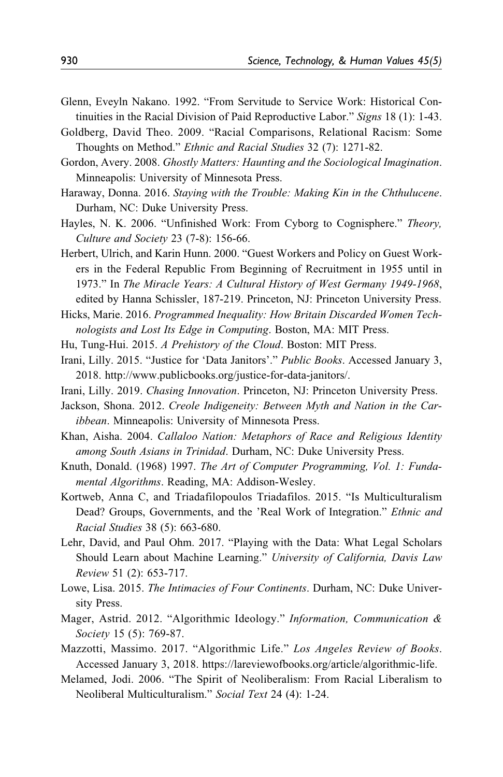- Glenn, Eveyln Nakano. 1992. "From Servitude to Service Work: Historical Continuities in the Racial Division of Paid Reproductive Labor." Signs 18 (1): 1-43.
- Goldberg, David Theo. 2009. "Racial Comparisons, Relational Racism: Some Thoughts on Method." Ethnic and Racial Studies 32 (7): 1271-82.
- Gordon, Avery. 2008. Ghostly Matters: Haunting and the Sociological Imagination. Minneapolis: University of Minnesota Press.
- Haraway, Donna. 2016. Staying with the Trouble: Making Kin in the Chthulucene. Durham, NC: Duke University Press.
- Hayles, N. K. 2006. "Unfinished Work: From Cyborg to Cognisphere." Theory, Culture and Society 23 (7-8): 156-66.
- Herbert, Ulrich, and Karin Hunn. 2000. "Guest Workers and Policy on Guest Workers in the Federal Republic From Beginning of Recruitment in 1955 until in 1973." In The Miracle Years: A Cultural History of West Germany 1949-1968, edited by Hanna Schissler, 187-219. Princeton, NJ: Princeton University Press.
- Hicks, Marie. 2016. Programmed Inequality: How Britain Discarded Women Technologists and Lost Its Edge in Computing. Boston, MA: MIT Press.
- Hu, Tung-Hui. 2015. A Prehistory of the Cloud. Boston: MIT Press.
- Irani, Lilly. 2015. "Justice for 'Data Janitors'." Public Books. Accessed January 3, 2018. [http://www.publicbooks.org/justice-for-data-janitors/.](http://www.publicbooks.org/justice-for-data-janitors/)
- Irani, Lilly. 2019. Chasing Innovation. Princeton, NJ: Princeton University Press.
- Jackson, Shona. 2012. Creole Indigeneity: Between Myth and Nation in the Caribbean. Minneapolis: University of Minnesota Press.
- Khan, Aisha. 2004. Callaloo Nation: Metaphors of Race and Religious Identity among South Asians in Trinidad. Durham, NC: Duke University Press.
- Knuth, Donald. (1968) 1997. The Art of Computer Programming, Vol. 1: Fundamental Algorithms. Reading, MA: Addison-Wesley.
- Kortweb, Anna C, and Triadafilopoulos Triadafilos. 2015. "Is Multiculturalism Dead? Groups, Governments, and the 'Real Work of Integration." Ethnic and Racial Studies 38 (5): 663-680.
- Lehr, David, and Paul Ohm. 2017. "Playing with the Data: What Legal Scholars Should Learn about Machine Learning." University of California, Davis Law Review 51 (2): 653-717.
- Lowe, Lisa. 2015. The Intimacies of Four Continents. Durham, NC: Duke University Press.
- Mager, Astrid. 2012. "Algorithmic Ideology." Information, Communication & Society 15 (5): 769-87.
- Mazzotti, Massimo. 2017. "Algorithmic Life." Los Angeles Review of Books. Accessed January 3, 2018. [https://lareviewofbooks.org/article/algorithmic-life.](https://lareviewofbooks.org/article/algorithmic-life)
- Melamed, Jodi. 2006. "The Spirit of Neoliberalism: From Racial Liberalism to Neoliberal Multiculturalism." Social Text 24 (4): 1-24.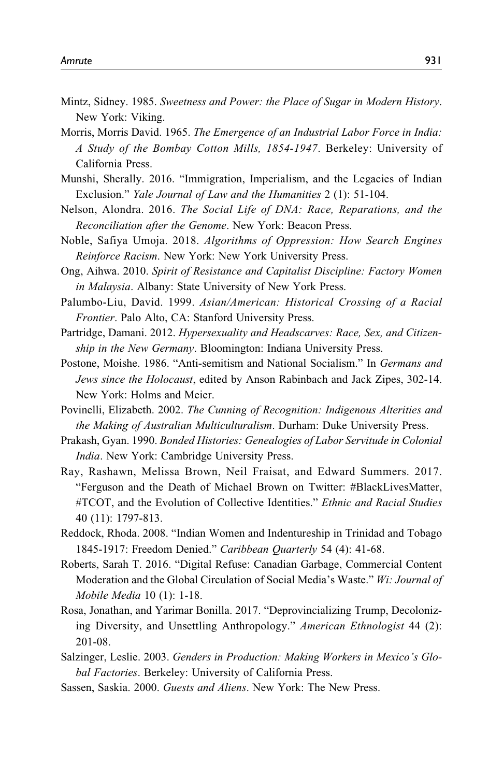- Mintz, Sidney. 1985. Sweetness and Power: the Place of Sugar in Modern History. New York: Viking.
- Morris, Morris David. 1965. The Emergence of an Industrial Labor Force in India: A Study of the Bombay Cotton Mills, 1854-1947. Berkeley: University of California Press.
- Munshi, Sherally. 2016. "Immigration, Imperialism, and the Legacies of Indian Exclusion." Yale Journal of Law and the Humanities 2 (1): 51-104.
- Nelson, Alondra. 2016. The Social Life of DNA: Race, Reparations, and the Reconciliation after the Genome. New York: Beacon Press.
- Noble, Safiya Umoja. 2018. Algorithms of Oppression: How Search Engines Reinforce Racism. New York: New York University Press.
- Ong, Aihwa. 2010. Spirit of Resistance and Capitalist Discipline: Factory Women in Malaysia. Albany: State University of New York Press.
- Palumbo-Liu, David. 1999. Asian/American: Historical Crossing of a Racial Frontier. Palo Alto, CA: Stanford University Press.
- Partridge, Damani. 2012. Hypersexuality and Headscarves: Race, Sex, and Citizenship in the New Germany. Bloomington: Indiana University Press.
- Postone, Moishe. 1986. "Anti-semitism and National Socialism." In Germans and Jews since the Holocaust, edited by Anson Rabinbach and Jack Zipes, 302-14. New York: Holms and Meier.
- Povinelli, Elizabeth. 2002. The Cunning of Recognition: Indigenous Alterities and the Making of Australian Multiculturalism. Durham: Duke University Press.
- Prakash, Gyan. 1990. Bonded Histories: Genealogies of Labor Servitude in Colonial India. New York: Cambridge University Press.
- Ray, Rashawn, Melissa Brown, Neil Fraisat, and Edward Summers. 2017. "Ferguson and the Death of Michael Brown on Twitter: #BlackLivesMatter, #TCOT, and the Evolution of Collective Identities." Ethnic and Racial Studies 40 (11): 1797-813.
- Reddock, Rhoda. 2008. "Indian Women and Indentureship in Trinidad and Tobago 1845-1917: Freedom Denied." Caribbean Quarterly 54 (4): 41-68.
- Roberts, Sarah T. 2016. "Digital Refuse: Canadian Garbage, Commercial Content Moderation and the Global Circulation of Social Media's Waste." Wi: Journal of Mobile Media 10 (1): 1-18.
- Rosa, Jonathan, and Yarimar Bonilla. 2017. "Deprovincializing Trump, Decolonizing Diversity, and Unsettling Anthropology." American Ethnologist 44 (2): 201-08.
- Salzinger, Leslie. 2003. Genders in Production: Making Workers in Mexico's Global Factories. Berkeley: University of California Press.
- Sassen, Saskia. 2000. Guests and Aliens. New York: The New Press.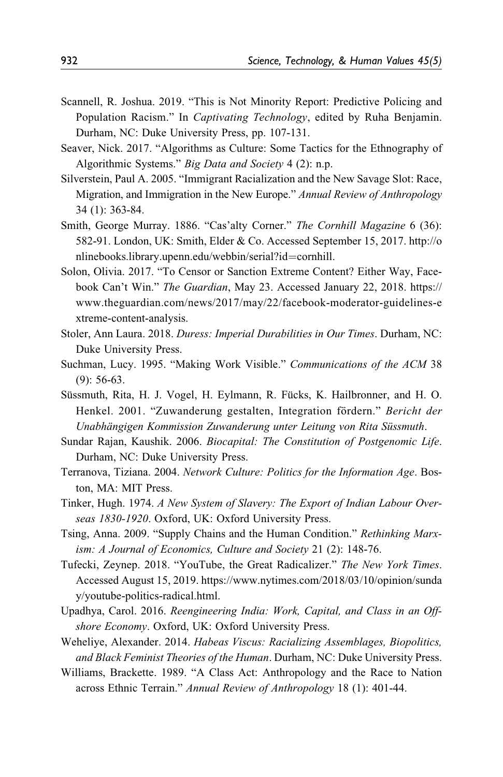- Scannell, R. Joshua. 2019. "This is Not Minority Report: Predictive Policing and Population Racism." In Captivating Technology, edited by Ruha Benjamin. Durham, NC: Duke University Press, pp. 107-131.
- Seaver, Nick. 2017. "Algorithms as Culture: Some Tactics for the Ethnography of Algorithmic Systems." Big Data and Society 4 (2): n.p.
- Silverstein, Paul A. 2005. "Immigrant Racialization and the New Savage Slot: Race, Migration, and Immigration in the New Europe." Annual Review of Anthropology 34 (1): 363-84.
- Smith, George Murray. 1886. "Cas'alty Corner." The Cornhill Magazine 6 (36): 582-91. London, UK: Smith, Elder & Co. Accessed September 15, 2017. [http://o](http://onlinebooks.library.upenn.edu/webbin/serial?id=cornhill) [nlinebooks.library.upenn.edu/webbin/serial?id](http://onlinebooks.library.upenn.edu/webbin/serial?id=cornhill)=[cornhill.](http://onlinebooks.library.upenn.edu/webbin/serial?id=cornhill)
- Solon, Olivia. 2017. "To Censor or Sanction Extreme Content? Either Way, Facebook Can't Win." The Guardian, May 23. Accessed January 22, 2018. [https://](https://www.theguardian.com/news/2017/may/22/facebook-moderator-guidelines-extreme-content-analysis) [www.theguardian.com/news/2017/may/22/facebook-moderator-guidelines-e](https://www.theguardian.com/news/2017/may/22/facebook-moderator-guidelines-extreme-content-analysis) [xtreme-content-analysis](https://www.theguardian.com/news/2017/may/22/facebook-moderator-guidelines-extreme-content-analysis).
- Stoler, Ann Laura. 2018. Duress: Imperial Durabilities in Our Times. Durham, NC: Duke University Press.
- Suchman, Lucy. 1995. "Making Work Visible." Communications of the ACM 38 (9): 56-63.
- Süssmuth, Rita, H. J. Vogel, H. Eylmann, R. Fücks, K. Hailbronner, and H. O. Henkel. 2001. "Zuwanderung gestalten, Integration fördern." Bericht der Unabhängigen Kommission Zuwanderung unter Leitung von Rita Süssmuth.
- Sundar Rajan, Kaushik. 2006. Biocapital: The Constitution of Postgenomic Life. Durham, NC: Duke University Press.
- Terranova, Tiziana. 2004. Network Culture: Politics for the Information Age. Boston, MA: MIT Press.
- Tinker, Hugh. 1974. A New System of Slavery: The Export of Indian Labour Overseas 1830-1920. Oxford, UK: Oxford University Press.
- Tsing, Anna. 2009. "Supply Chains and the Human Condition." Rethinking Marxism: A Journal of Economics, Culture and Society 21 (2): 148-76.
- Tufecki, Zeynep. 2018. "YouTube, the Great Radicalizer." The New York Times. Accessed August 15, 2019. [https://www.nytimes.com/2018/03/10/opinion/sunda](https://www.nytimes.com/2018/03/10/opinion/sunday/youtube-politics-radical.html) [y/youtube-politics-radical.html.](https://www.nytimes.com/2018/03/10/opinion/sunday/youtube-politics-radical.html)
- Upadhya, Carol. 2016. Reengineering India: Work, Capital, and Class in an Offshore Economy. Oxford, UK: Oxford University Press.
- Weheliye, Alexander. 2014. Habeas Viscus: Racializing Assemblages, Biopolitics, and Black Feminist Theories of the Human. Durham, NC: Duke University Press.
- Williams, Brackette. 1989. "A Class Act: Anthropology and the Race to Nation across Ethnic Terrain." Annual Review of Anthropology 18 (1): 401-44.